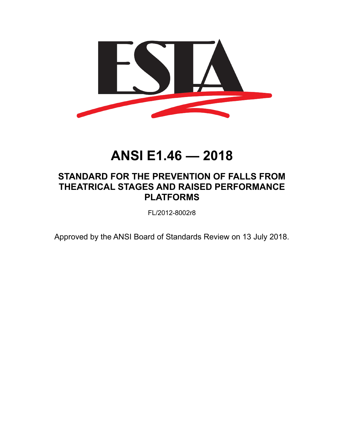

# **ANSI E1.46 — 2018**

# **STANDARD FOR THE PREVENTION OF FALLS FROM THEATRICAL STAGES AND RAISED PERFORMANCE PLATFORMS**

FL/2012-8002r8

Approved by the ANSI Board of Standards Review on 13 July 2018.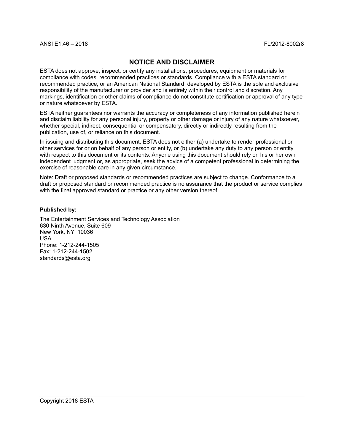# <span id="page-1-0"></span>**NOTICE AND DISCLAIMER**

ESTA does not approve, inspect, or certify any installations, procedures, equipment or materials for compliance with codes, recommended practices or standards. Compliance with a ESTA standard or recommended practice, or an American National Standard developed by ESTA is the sole and exclusive responsibility of the manufacturer or provider and is entirely within their control and discretion. Any markings, identification or other claims of compliance do not constitute certification or approval of any type or nature whatsoever by ESTA.

ESTA neither guarantees nor warrants the accuracy or completeness of any information published herein and disclaim liability for any personal injury, property or other damage or injury of any nature whatsoever, whether special, indirect, consequential or compensatory, directly or indirectly resulting from the publication, use of, or reliance on this document.

In issuing and distributing this document, ESTA does not either (a) undertake to render professional or other services for or on behalf of any person or entity, or (b) undertake any duty to any person or entity with respect to this document or its contents. Anyone using this document should rely on his or her own independent judgment or, as appropriate, seek the advice of a competent professional in determining the exercise of reasonable care in any given circumstance.

Note: Draft or proposed standards or recommended practices are subject to change. Conformance to a draft or proposed standard or recommended practice is no assurance that the product or service complies with the final approved standard or practice or any other version thereof.

#### **Published by:**

The Entertainment Services and Technology Association 630 Ninth Avenue, Suite 609 New York, NY 10036 USA Phone: 1-212-244-1505 Fax: 1-212-244-1502 standards@esta.org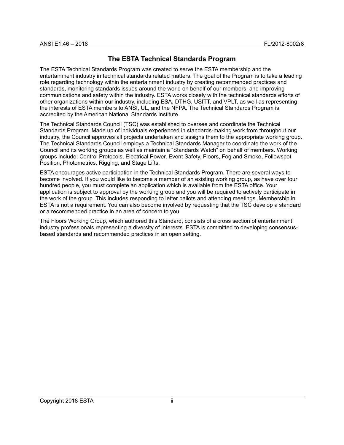# **The ESTA Technical Standards Program**

The ESTA Technical Standards Program was created to serve the ESTA membership and the entertainment industry in technical standards related matters. The goal of the Program is to take a leading role regarding technology within the entertainment industry by creating recommended practices and standards, monitoring standards issues around the world on behalf of our members, and improving communications and safety within the industry. ESTA works closely with the technical standards efforts of other organizations within our industry, including ESA, DTHG, USITT, and VPLT, as well as representing the interests of ESTA members to ANSI, UL, and the NFPA. The Technical Standards Program is accredited by the American National Standards Institute.

The Technical Standards Council (TSC) was established to oversee and coordinate the Technical Standards Program. Made up of individuals experienced in standards-making work from throughout our industry, the Council approves all projects undertaken and assigns them to the appropriate working group. The Technical Standards Council employs a Technical Standards Manager to coordinate the work of the Council and its working groups as well as maintain a "Standards Watch" on behalf of members. Working groups include: Control Protocols, Electrical Power, Event Safety, Floors, Fog and Smoke, Followspot Position, Photometrics, Rigging, and Stage Lifts.

ESTA encourages active participation in the Technical Standards Program. There are several ways to become involved. If you would like to become a member of an existing working group, as have over four hundred people, you must complete an application which is available from the ESTA office. Your application is subject to approval by the working group and you will be required to actively participate in the work of the group. This includes responding to letter ballots and attending meetings. Membership in ESTA is not a requirement. You can also become involved by requesting that the TSC develop a standard or a recommended practice in an area of concern to you.

The Floors Working Group, which authored this Standard, consists of a cross section of entertainment industry professionals representing a diversity of interests. ESTA is committed to developing consensusbased standards and recommended practices in an open setting.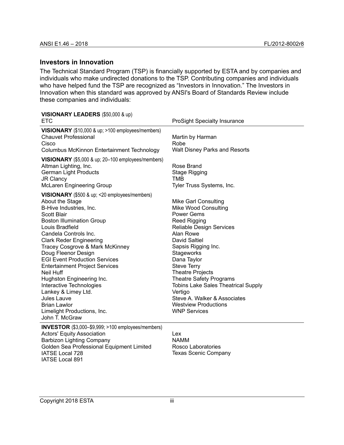# <span id="page-3-0"></span>**Investors in Innovation**

The Technical Standard Program (TSP) is financially supported by ESTA and by companies and individuals who make undirected donations to the TSP. Contributing companies and individuals who have helped fund the TSP are recognized as "Investors in Innovation." The Investors in Innovation when this standard was approved by ANSI's Board of Standards Review include these companies and individuals:

# **VISIONARY LEADERS** (\$50,000 & up)

| <b>ETC</b>                                                                                                                                                                                                                                                                                                                                                                                                                                                                                                                                                         | <b>ProSight Specialty Insurance</b>                                                                                                                                                                                                                                                                                                                                                                                                             |
|--------------------------------------------------------------------------------------------------------------------------------------------------------------------------------------------------------------------------------------------------------------------------------------------------------------------------------------------------------------------------------------------------------------------------------------------------------------------------------------------------------------------------------------------------------------------|-------------------------------------------------------------------------------------------------------------------------------------------------------------------------------------------------------------------------------------------------------------------------------------------------------------------------------------------------------------------------------------------------------------------------------------------------|
| VISIONARY (\$10,000 & up; >100 employees/members)<br><b>Chauvet Professional</b><br>Cisco<br>Columbus McKinnon Entertainment Technology                                                                                                                                                                                                                                                                                                                                                                                                                            | Martin by Harman<br>Robe<br><b>Walt Disney Parks and Resorts</b>                                                                                                                                                                                                                                                                                                                                                                                |
| VISIONARY (\$5,000 & up; 20-100 employees/members)<br>Altman Lighting, Inc.<br><b>German Light Products</b><br><b>JR Clancy</b><br><b>McLaren Engineering Group</b>                                                                                                                                                                                                                                                                                                                                                                                                | Rose Brand<br><b>Stage Rigging</b><br>TMB<br>Tyler Truss Systems, Inc.                                                                                                                                                                                                                                                                                                                                                                          |
| <b>VISIONARY</b> (\$500 & up; <20 employees/members)<br>About the Stage<br>B-Hive Industries, Inc.<br>Scott Blair<br><b>Boston Illumination Group</b><br>Louis Bradfield<br>Candela Controls Inc.<br><b>Clark Reder Engineering</b><br>Tracey Cosgrove & Mark McKinney<br>Doug Fleenor Design<br><b>EGI Event Production Services</b><br><b>Entertainment Project Services</b><br>Neil Huff<br>Hughston Engineering Inc.<br>Interactive Technologies<br>Lankey & Limey Ltd.<br>Jules Lauve<br><b>Brian Lawlor</b><br>Limelight Productions, Inc.<br>John T. McGraw | <b>Mike Garl Consulting</b><br>Mike Wood Consulting<br><b>Power Gems</b><br>Reed Rigging<br><b>Reliable Design Services</b><br>Alan Rowe<br>David Saltiel<br>Sapsis Rigging Inc.<br>Stageworks<br>Dana Taylor<br><b>Steve Terry</b><br><b>Theatre Projects</b><br><b>Theatre Safety Programs</b><br><b>Tobins Lake Sales Theatrical Supply</b><br>Vertigo<br>Steve A. Walker & Associates<br><b>Westview Productions</b><br><b>WNP Services</b> |
| $\sqrt{2}$                                                                                                                                                                                                                                                                                                                                                                                                                                                                                                                                                         |                                                                                                                                                                                                                                                                                                                                                                                                                                                 |

**INVESTOR** (\$3,000–\$9,999; >100 employees/members) Actors' Equity Association Barbizon Lighting Company Golden Sea Professional Equipment Limited IATSE Local 728 IATSE Local 891

Lex NAMM Rosco Laboratories Texas Scenic Company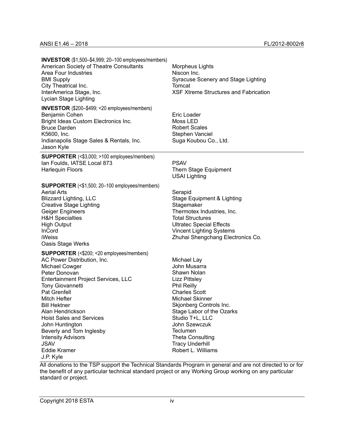**INVESTOR** (\$1,500–\$4,999; 20–100 employees/members) American Society of Theatre Consultants Area Four Industries BMI Supply City Theatrical Inc. InterAmerica Stage, Inc. Lycian Stage Lighting

**INVESTOR** (\$200–\$499; <20 employees/members) Benjamin Cohen Bright Ideas Custom Electronics Inc. Bruce Darden K5600, Inc. Indianapolis Stage Sales & Rentals, Inc. Jason Kyle

**SUPPORTER** (<\$3,000; >100 employees/members) Ian Foulds, IATSE Local 873 Harlequin Floors

#### **SUPPORTER** (<\$1,500; 20–100 employees/members)

Aerial Arts Blizzard Lighting, LLC Creative Stage Lighting Geiger Engineers H&H Specialties High Output InCord iWeiss Oasis Stage Werks

#### **SUPPORTER** (<\$200; <20 employees/members) AC Power Distribution, Inc. Michael Cowger Peter Donovan Entertainment Project Services, LLC Tony Giovannetti Pat Grenfell Mitch Hefter

Bill Hektner Alan Hendrickson Hoist Sales and Services John Huntington Beverly and Tom Inglesby Intensity Advisors JSAV Eddie Kramer J.P. Kyle

Morpheus Lights Niscon Inc. Syracuse Scenery and Stage Lighting Tomcat XSF Xtreme Structures and Fabrication

Eric Loader Moss LED Robert Scales Stephen Vanciel Suga Koubou Co., Ltd.

PSAV

Thern Stage Equipment USAI Lighting

Serapid Stage Equipment & Lighting **Stagemaker** Thermotex Industries, Inc. Total Structures Ultratec Special Effects Vincent Lighting Systems Zhuhai Shengchang Electronics Co.

Michael Lay John Musarra Shawn Nolan Lizz Pittsley Phil Reilly Charles Scott Michael Skinner Skjonberg Controls Inc. Stage Labor of the Ozarks Studio T+L, LLC John Szewczuk Teclumen Theta Consulting Tracy Underhill Robert L. Williams

All donations to the TSP support the Technical Standards Program in general and are not directed to or for the benefit of any particular technical standard project or any Working Group working on any particular standard or project.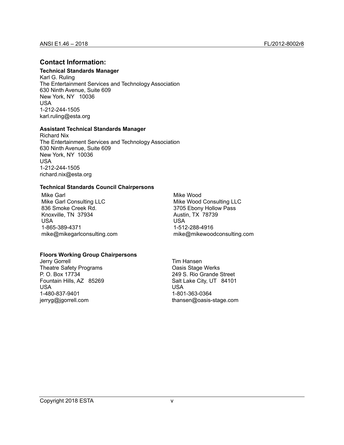# <span id="page-5-0"></span>**Contact Information:**

# **Technical Standards Manager**

Karl G. Ruling The Entertainment Services and Technology Association 630 Ninth Avenue, Suite 609 New York, NY 10036 USA 1-212-244-1505 karl.ruling@esta.org

#### **Assistant Technical Standards Manager**

Richard Nix The Entertainment Services and Technology Association 630 Ninth Avenue, Suite 609 New York, NY 10036 USA 1-212-244-1505 richard.nix@esta.org

#### **Technical Standards Council Chairpersons**

Mike Garl Mike Garl Consulting LLC 836 Smoke Creek Rd. Knoxville, TN 37934 USA 1-865-389-4371 mike@mikegarlconsulting.com Mike Wood Mike Wood Consulting LLC 3705 Ebony Hollow Pass Austin, TX 78739 USA 1-512-288-4916 mike@mikewoodconsulting.com

#### **Floors Working Group Chairpersons**

Jerry Gorrell Theatre Safety Programs P. O. Box 17734 Fountain Hills, AZ 85269 USA 1-480-837-9401 jerryg@jgorrell.com

Tim Hansen Oasis Stage Werks 249 S. Rio Grande Street Salt Lake City, UT 84101 USA 1-801-363-0364 thansen@oasis-stage.com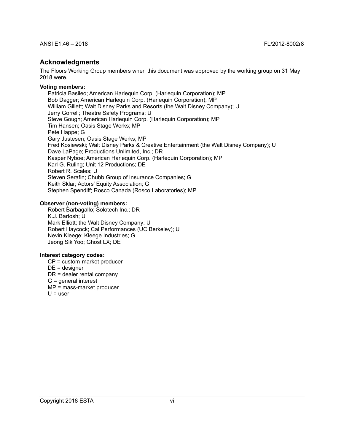#### <span id="page-6-0"></span>**Acknowledgments**

The Floors Working Group members when this document was approved by the working group on 31 May 2018 were.

#### **Voting members:**

Patricia Basileo; American Harlequin Corp. (Harlequin Corporation); MP Bob Dagger; American Harlequin Corp. (Harlequin Corporation); MP William Gillett; Walt Disney Parks and Resorts (the Walt Disney Company); U Jerry Gorrell; Theatre Safety Programs; U Steve Gough; American Harlequin Corp. (Harlequin Corporation); MP Tim Hansen; Oasis Stage Werks; MP Pete Happe; G Gary Justesen; Oasis Stage Werks; MP Fred Kosiewski; Walt Disney Parks & Creative Entertainment (the Walt Disney Company); U Dave LaPage; Productions Unlimited, Inc.; DR Kasper Nyboe; American Harlequin Corp. (Harlequin Corporation); MP Karl G. Ruling; Unit 12 Productions; DE Robert R. Scales; U Steven Serafin; Chubb Group of Insurance Companies; G Keith Sklar; Actors' Equity Association; G Stephen Spendiff; Rosco Canada (Rosco Laboratories); MP

#### **Observer (non-voting) members:**

Robert Barbagallo; Solotech Inc.; DR K.J. Bartosh; U Mark Elliott; the Walt Disney Company; U Robert Haycock; Cal Performances (UC Berkeley); U Nevin Kleege; Kleege Industries; G Jeong Sik Yoo; Ghost LX; DE

#### **Interest category codes:**

CP = custom-market producer DE = designer DR = dealer rental company G = general interest MP = mass-market producer  $U =$ user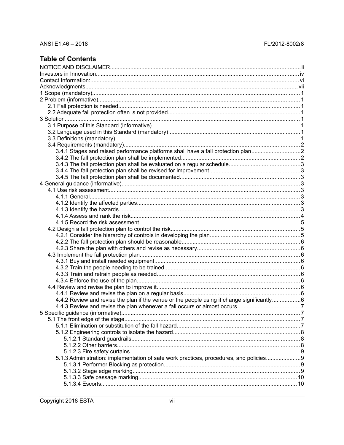# **Table of Contents**

| 3.4.1 Stages and raised performance platforms shall have a fall protection plan<br>4.4.2 Review and revise the plan if the venue or the people using it change significantly6<br>5.1.3 Administration: implementation of safe work practices, procedures, and policies9 |  |
|-------------------------------------------------------------------------------------------------------------------------------------------------------------------------------------------------------------------------------------------------------------------------|--|
|                                                                                                                                                                                                                                                                         |  |
|                                                                                                                                                                                                                                                                         |  |
|                                                                                                                                                                                                                                                                         |  |
|                                                                                                                                                                                                                                                                         |  |
|                                                                                                                                                                                                                                                                         |  |
|                                                                                                                                                                                                                                                                         |  |
|                                                                                                                                                                                                                                                                         |  |
|                                                                                                                                                                                                                                                                         |  |
|                                                                                                                                                                                                                                                                         |  |
|                                                                                                                                                                                                                                                                         |  |
|                                                                                                                                                                                                                                                                         |  |
|                                                                                                                                                                                                                                                                         |  |
|                                                                                                                                                                                                                                                                         |  |
|                                                                                                                                                                                                                                                                         |  |
|                                                                                                                                                                                                                                                                         |  |
|                                                                                                                                                                                                                                                                         |  |
|                                                                                                                                                                                                                                                                         |  |
|                                                                                                                                                                                                                                                                         |  |
|                                                                                                                                                                                                                                                                         |  |
|                                                                                                                                                                                                                                                                         |  |
|                                                                                                                                                                                                                                                                         |  |
|                                                                                                                                                                                                                                                                         |  |
|                                                                                                                                                                                                                                                                         |  |
|                                                                                                                                                                                                                                                                         |  |
|                                                                                                                                                                                                                                                                         |  |
|                                                                                                                                                                                                                                                                         |  |
|                                                                                                                                                                                                                                                                         |  |
|                                                                                                                                                                                                                                                                         |  |
|                                                                                                                                                                                                                                                                         |  |
|                                                                                                                                                                                                                                                                         |  |
|                                                                                                                                                                                                                                                                         |  |
|                                                                                                                                                                                                                                                                         |  |
|                                                                                                                                                                                                                                                                         |  |
|                                                                                                                                                                                                                                                                         |  |
|                                                                                                                                                                                                                                                                         |  |
|                                                                                                                                                                                                                                                                         |  |
|                                                                                                                                                                                                                                                                         |  |
|                                                                                                                                                                                                                                                                         |  |
|                                                                                                                                                                                                                                                                         |  |
|                                                                                                                                                                                                                                                                         |  |
|                                                                                                                                                                                                                                                                         |  |
|                                                                                                                                                                                                                                                                         |  |
|                                                                                                                                                                                                                                                                         |  |
|                                                                                                                                                                                                                                                                         |  |
|                                                                                                                                                                                                                                                                         |  |
|                                                                                                                                                                                                                                                                         |  |
|                                                                                                                                                                                                                                                                         |  |
|                                                                                                                                                                                                                                                                         |  |
|                                                                                                                                                                                                                                                                         |  |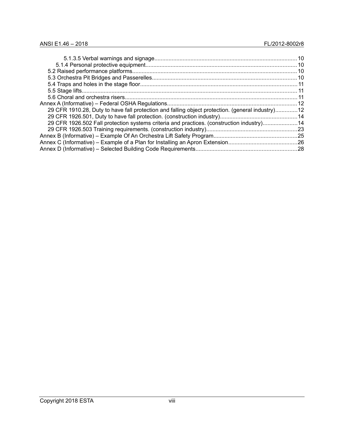| 29 CFR 1910.28, Duty to have fall protection and falling object protection. (general industry)12 |  |
|--------------------------------------------------------------------------------------------------|--|
|                                                                                                  |  |
| 29 CFR 1926.502 Fall protection systems criteria and practices. (construction industry)14        |  |
|                                                                                                  |  |
|                                                                                                  |  |
|                                                                                                  |  |
|                                                                                                  |  |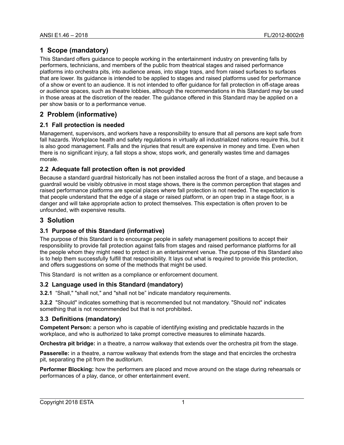# <span id="page-9-7"></span>**1 Scope (mandatory)**

This Standard offers guidance to people working in the entertainment industry on preventing falls by performers, technicians, and members of the public from theatrical stages and raised performance platforms into orchestra pits, into audience areas, into stage traps, and from raised surfaces to surfaces that are lower. Its guidance is intended to be applied to stages and raised platforms used for performance of a show or event to an audience. It is not intended to offer guidance for fall protection in off-stage areas or audience spaces, such as theatre lobbies, although the recommendations in this Standard may be used in those areas at the discretion of the reader. The guidance offered in this Standard may be applied on a per show basis or to a performance venue.

# <span id="page-9-6"></span>**2 Problem (informative)**

# <span id="page-9-5"></span>**2.1 Fall protection is needed**

Management, supervisors, and workers have a responsibility to ensure that all persons are kept safe from fall hazards. Workplace health and safety regulations in virtually all industrialized nations require this, but it is also good management. Falls and the injuries that result are expensive in money and time. Even when there is no significant injury, a fall stops a show, stops work, and generally wastes time and damages morale.

# <span id="page-9-4"></span>**2.2 Adequate fall protection often is not provided**

Because a standard guardrail historically has not been installed across the front of a stage, and because a guardrail would be visibly obtrusive in most stage shows, there is the common perception that stages and raised performance platforms are special places where fall protection is not needed. The expectation is that people understand that the edge of a stage or raised platform, or an open trap in a stage floor, is a danger and will take appropriate action to protect themselves. This expectation is often proven to be unfounded, with expensive results.

# <span id="page-9-3"></span>**3 Solution**

# <span id="page-9-2"></span>**3.1 Purpose of this Standard (informative)**

The purpose of this Standard is to encourage people in safety management positions to accept their responsibility to provide fall protection against falls from stages and raised performance platforms for all the people whom they might need to protect in an entertainment venue. The purpose of this Standard also is to help them successfully fulfill that responsibility. It lays out what is required to provide this protection, and offers suggestions on some of the methods that might be used.

This Standard is not written as a compliance or enforcement document.

# <span id="page-9-1"></span>**3.2 Language used in this Standard (mandatory)**

**3.2.1** "Shall," "shall not," and "shall not be" indicate mandatory requirements.

**3.2.2** "Should" indicates something that is recommended but not mandatory. "Should not" indicates something that is not recommended but that is not prohibited**.**

# <span id="page-9-0"></span>**3.3 Definitions (mandatory)**

**Competent Person:** a person who is capable of identifying existing and predictable hazards in the workplace, and who is authorized to take prompt corrective measures to eliminate hazards.

**Orchestra pit bridge:** in a theatre, a narrow walkway that extends over the orchestra pit from the stage.

**Passerelle:** in a theatre, a narrow walkway that extends from the stage and that encircles the orchestra pit, separating the pit from the auditorium.

**Performer Blocking:** how the performers are placed and move around on the stage during rehearsals or performances of a play, dance, or other entertainment event.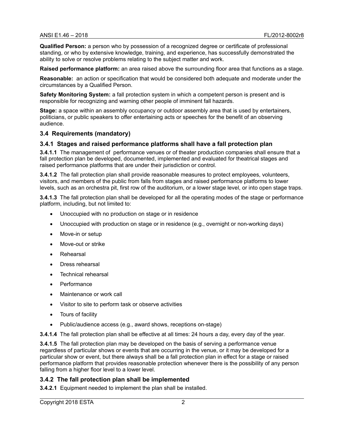**Qualified Person:** a person who by possession of a recognized degree or certificate of professional standing, or who by extensive knowledge, training, and experience, has successfully demonstrated the ability to solve or resolve problems relating to the subject matter and work.

**Raised performance platform:** an area raised above the surrounding floor area that functions as a stage.

**Reasonable:** an action or specification that would be considered both adequate and moderate under the circumstances by a Qualified Person.

**Safety Monitoring System:** a fall protection system in which a competent person is present and is responsible for recognizing and warning other people of imminent fall hazards.

**Stage:** a space within an assembly occupancy or outdoor assembly area that is used by entertainers, politicians, or public speakers to offer entertaining acts or speeches for the benefit of an observing audience.

#### <span id="page-10-2"></span>**3.4 Requirements (mandatory)**

#### <span id="page-10-1"></span>**3.4.1 Stages and raised performance platforms shall have a fall protection plan**

**3.4.1.1** The management of performance venues or of theater production companies shall ensure that a fall protection plan be developed, documented, implemented and evaluated for theatrical stages and raised performance platforms that are under their jurisdiction or control.

**3.4.1.2** The fall protection plan shall provide reasonable measures to protect employees, volunteers, visitors, and members of the public from falls from stages and raised performance platforms to lower levels, such as an orchestra pit, first row of the auditorium, or a lower stage level, or into open stage traps.

**3.4.1.3** The fall protection plan shall be developed for all the operating modes of the stage or performance platform, including, but not limited to:

- Unoccupied with no production on stage or in residence
- Unoccupied with production on stage or in residence (e.g., overnight or non-working days)
- Move-in or setup
- Move-out or strike
- Rehearsal
- Dress rehearsal
- Technical rehearsal
- **Performance**
- Maintenance or work call
- Visitor to site to perform task or observe activities
- Tours of facility
- Public/audience access (e.g., award shows, receptions on-stage)

**3.4.1.4** The fall protection plan shall be effective at all times: 24 hours a day, every day of the year.

**3.4.1.5** The fall protection plan may be developed on the basis of serving a performance venue regardless of particular shows or events that are occurring in the venue, or it may be developed for a particular show or event, but there always shall be a fall protection plan in effect for a stage or raised performance platform that provides reasonable protection whenever there is the possibility of any person falling from a higher floor level to a lower level.

#### <span id="page-10-0"></span>**3.4.2 The fall protection plan shall be implemented**

**3.4.2.1** Equipment needed to implement the plan shall be installed.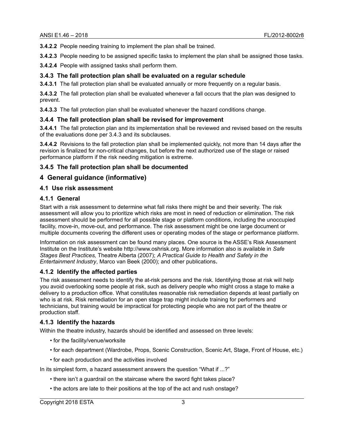**3.4.2.2** People needing training to implement the plan shall be trained.

**3.4.2.3** People needing to be assigned specific tasks to implement the plan shall be assigned those tasks.

**3.4.2.4** People with assigned tasks shall perform them.

#### <span id="page-11-7"></span>**3.4.3 The fall protection plan shall be evaluated on a regular schedule**

**3.4.3.1** The fall protection plan shall be evaluated annually or more frequently on a regular basis.

**3.4.3.2** The fall protection plan shall be evaluated whenever a fall occurs that the plan was designed to prevent.

**3.4.3.3** The fall protection plan shall be evaluated whenever the hazard conditions change.

#### <span id="page-11-6"></span>**3.4.4 The fall protection plan shall be revised for improvement**

**3.4.4.1** The fall protection plan and its implementation shall be reviewed and revised based on the results of the evaluations done per 3.4.3 and its subclauses.

**3.4.4.2** Revisions to the fall protection plan shall be implemented quickly, not more than 14 days after the revision is finalized for non-critical changes, but before the next authorized use of the stage or raised performance platform if the risk needing mitigation is extreme.

#### <span id="page-11-5"></span>**3.4.5 The fall protection plan shall be documented**

# <span id="page-11-4"></span>**4 General guidance (informative)**

#### <span id="page-11-3"></span>**4.1 Use risk assessment**

#### <span id="page-11-2"></span>**4.1.1 General**

Start with a risk assessment to determine what fall risks there might be and their severity. The risk assessment will allow you to prioritize which risks are most in need of reduction or elimination. The risk assessment should be performed for all possible stage or platform conditions, including the unoccupied facility, move-in, move-out, and performance. The risk assessment might be one large document or multiple documents covering the different uses or operating modes of the stage or performance platform.

Information on risk assessment can be found many places. One source is the ASSE's Risk Assessment Institute on the Institute's website http://www.oshrisk.org. More information also is available in *Safe Stages Best Practices,* Theatre Alberta (2007); *A Practical Guide to Health and Safety in the Entertainment Industry*, Marco van Beek (2000); and other publications**.**

#### <span id="page-11-1"></span>**4.1.2 Identify the affected parties**

The risk assessment needs to identify the at-risk persons and the risk. Identifying those at risk will help you avoid overlooking some people at risk, such as delivery people who might cross a stage to make a delivery to a production office. What constitutes reasonable risk remediation depends at least partially on who is at risk. Risk remediation for an open stage trap might include training for performers and technicians, but training would be impractical for protecting people who are not part of the theatre or production staff.

# <span id="page-11-0"></span>**4.1.3 Identify the hazards**

Within the theatre industry, hazards should be identified and assessed on three levels:

- for the facility/venue/worksite
- for each department (Wardrobe, Props, Scenic Construction, Scenic Art, Stage, Front of House, etc.)
- for each production and the activities involved

In its simplest form, a hazard assessment answers the question "What if ...?"

- there isn't a guardrail on the staircase where the sword fight takes place?
- the actors are late to their positions at the top of the act and rush onstage?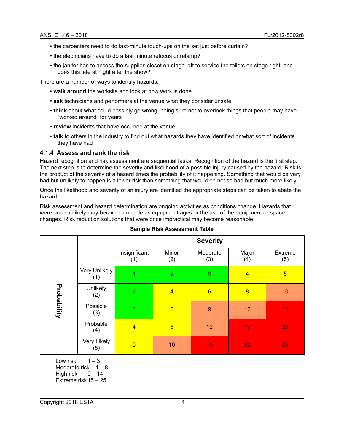- the carpenters need to do last-minute touch-ups on the set just before curtain?
- the electricians have to do a last minute refocus or relamp?
- the janitor has to access the supplies closet on stage left to service the toilets on stage right, and does this late at night after the show?

There are a number of ways to identify hazards:

- **walk around** the worksite and look at how work is done
- **ask** technicians and performers at the venue what they consider unsafe
- **think** about what could possibly go wrong, being sure not to overlook things that people may have "worked around" for years
- **review** incidents that have occurred at the venue
- **talk** to others in the industry to find out what hazards they have identified or what sort of incidents they have had

#### <span id="page-12-0"></span>**4.1.4 Assess and rank the risk**

Hazard recognition and risk assessment are sequential tasks. Recognition of the hazard is the first step. The next step is to determine the severity and likelihood of a possible injury caused by the hazard. Risk is the product of the severity of a hazard times the probability of it happening. Something that would be very bad but unlikely to happen is a lower risk than something that would be not so bad but much more likely.

Once the likelihood and severity of an injury are identified the appropriate steps can be taken to abate the hazard.

Risk assessment and hazard determination are ongoing activities as conditions change. Hazards that were once unlikely may become probable as equipment ages or the use of the equipment or space changes. Risk reduction solutions that were once impractical may become reasonable.

|             |                      | <b>Severity</b>      |                 |                 |                |                |
|-------------|----------------------|----------------------|-----------------|-----------------|----------------|----------------|
|             |                      | Insignificant<br>(1) | Minor<br>(2)    | Moderate<br>(3) | Major<br>(4)   | Extreme<br>(5) |
|             | Very Unlikely<br>(1) |                      | $\overline{2}$  | 3               | $\overline{4}$ | $\overline{5}$ |
|             | Unlikely<br>(2)      | $\overline{2}$       | $\overline{4}$  | $6\overline{6}$ | $\overline{8}$ | 10             |
| Probability | Possible<br>(3)      | 3                    | $6\overline{6}$ | $\overline{9}$  | 12             | 15             |
|             | Probable<br>(4)      | $\overline{4}$       | $\overline{8}$  | 12              | 16             | 20             |
|             | Very Likely<br>(5)   | $\overline{5}$       | 10              | 15              | 20             | 25             |

#### **Sample Risk Assessment Table**

Low risk  $1 - 3$ Moderate risk  $4 - 8$ High risk  $9 - 14$ Extreme risk15 – 25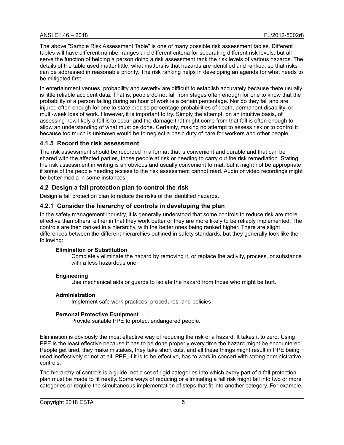The above "Sample Risk Assessment Table" is one of many possible risk assessment tables. Different tables will have different number ranges and different criteria for separating different risk levels, but all serve the function of helping a person doing a risk assessment rank the risk levels of various hazards. The details of the table used matter little; what matters is that hazards are identified and ranked, so that risks can be addressed in reasonable priority. The risk ranking helps in developing an agenda for what needs to be mitigated first.

In entertainment venues, probability and severity are difficult to establish accurately because there usually is little reliable accident data. That is, people do not fall from stages often enough for one to know that the probability of a person falling during an hour of work is a certain percentage. Nor do they fall and are injured often enough for one to state precise percentage probabilities of death, permanent disability, or multi-week loss of work. However, it is important to try. Simply the attempt, on an intuitive basis, of assessing how likely a fall is to occur and the damage that might come from that fall is often enough to allow an understanding of what must be done. Certainly, making no attempt to assess risk or to control it because too much is unknown would be to neglect a basic duty of care for workers and other people.

# <span id="page-13-2"></span>**4.1.5 Record the risk assessment**

The risk assessment should be recorded in a format that is convenient and durable and that can be shared with the affected parties, those people at risk or needing to carry out the risk remediation. Stating the risk assessment in writing is an obvious and usually convenient format, but it might not be appropriate if some of the people needing access to the risk assessment cannot read. Audio or video recordings might be better media in some instances.

# <span id="page-13-1"></span>**4.2 Design a fall protection plan to control the risk**

Design a fall protection plan to reduce the risks of the identified hazards.

# <span id="page-13-0"></span>**4.2.1 Consider the hierarchy of controls in developing the plan**

In the safety management industry, it is generally understood that some controls to reduce risk are more effective than others, either in that they work better or they are more likely to be reliably implemented. The controls are then ranked in a hierarchy, with the better ones being ranked higher. There are slight differences between the different hierarchies outlined in safety standards, but they generally look like the following:

#### **Elimination or Substitution**

Completely eliminate the hazard by removing it, or replace the activity, process, or substance with a less hazardous one

#### **Engineering**

Use mechanical aids or guards to isolate the hazard from those who might be hurt.

#### **Administration**

Implement safe work practices, procedures, and policies

#### **Personal Protective Equipment**

Provide suitable PPE to protect endangered people.

Elimination is obviously the most effective way of reducing the risk of a hazard. It takes it to zero. Using PPE is the least effective because it has to be done properly every time the hazard might be encountered. People get tired, they make mistakes, they take short cuts, and all these things might result in PPE being used ineffectively or not at all. PPE, if it is to be effective, has to work in concert with strong administrative controls.

The hierarchy of controls is a guide, not a set of rigid categories into which every part of a fall protection plan must be made to fit neatly. Some ways of reducing or eliminating a fall risk might fall into two or more categories or require the simultaneous implementation of steps that fit into another category. For example,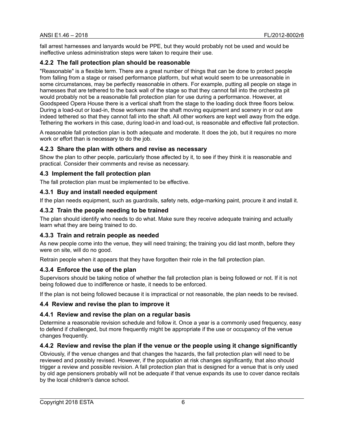fall arrest harnesses and lanyards would be PPE, but they would probably not be used and would be ineffective unless administration steps were taken to require their use.

# <span id="page-14-9"></span>**4.2.2 The fall protection plan should be reasonable**

"Reasonable" is a flexible term. There are a great number of things that can be done to protect people from falling from a stage or raised performance platform, but what would seem to be unreasonable in some circumstances, may be perfectly reasonable in others. For example, putting all people on stage in harnesses that are tethered to the back wall of the stage so that they cannot fall into the orchestra pit would probably not be a reasonable fall protection plan for use during a performance. However, at Goodspeed Opera House there is a vertical shaft from the stage to the loading dock three floors below. During a load-out or load-in, those workers near the shaft moving equipment and scenery in or out are indeed tethered so that they cannot fall into the shaft. All other workers are kept well away from the edge. Tethering the workers in this case, during load-in and load-out, is reasonable and effective fall protection.

A reasonable fall protection plan is both adequate and moderate. It does the job, but it requires no more work or effort than is necessary to do the job.

# <span id="page-14-8"></span>**4.2.3 Share the plan with others and revise as necessary**

Show the plan to other people, particularly those affected by it, to see if they think it is reasonable and practical. Consider their comments and revise as necessary.

# <span id="page-14-7"></span>**4.3 Implement the fall protection plan**

The fall protection plan must be implemented to be effective.

# <span id="page-14-6"></span>**4.3.1 Buy and install needed equipment**

If the plan needs equipment, such as guardrails, safety nets, edge-marking paint, procure it and install it.

# <span id="page-14-5"></span>**4.3.2 Train the people needing to be trained**

The plan should identify who needs to do what. Make sure they receive adequate training and actually learn what they are being trained to do.

# <span id="page-14-4"></span>**4.3.3 Train and retrain people as needed**

As new people come into the venue, they will need training; the training you did last month, before they were on site, will do no good.

Retrain people when it appears that they have forgotten their role in the fall protection plan.

#### <span id="page-14-3"></span>**4.3.4 Enforce the use of the plan**

Supervisors should be taking notice of whether the fall protection plan is being followed or not. If it is not being followed due to indifference or haste, it needs to be enforced.

If the plan is not being followed because it is impractical or not reasonable, the plan needs to be revised.

#### <span id="page-14-2"></span>**4.4 Review and revise the plan to improve it**

#### <span id="page-14-1"></span>**4.4.1 Review and revise the plan on a regular basis**

Determine a reasonable revision schedule and follow it. Once a year is a commonly used frequency, easy to defend if challenged, but more frequently might be appropriate if the use or occupancy of the venue changes frequently.

# <span id="page-14-0"></span>**4.4.2 Review and revise the plan if the venue or the people using it change significantly**

Obviously, if the venue changes and that changes the hazards, the fall protection plan will need to be reviewed and possibly revised. However, if the population at risk changes significantly, that also should trigger a review and possible revision. A fall protection plan that is designed for a venue that is only used by old age pensioners probably will not be adequate if that venue expands its use to cover dance recitals by the local children's dance school.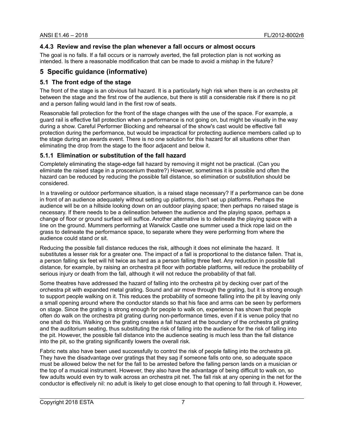#### <span id="page-15-3"></span>**4.4.3 Review and revise the plan whenever a fall occurs or almost occurs**

The goal is no falls. If a fall occurs or is narrowly averted, the fall protection plan is not working as intended. Is there a reasonable modification that can be made to avoid a mishap in the future?

# <span id="page-15-2"></span>**5 Specific guidance (informative)**

#### <span id="page-15-1"></span>**5.1 The front edge of the stage**

The front of the stage is an obvious fall hazard. It is a particularly high risk when there is an orchestra pit between the stage and the first row of the audience, but there is still a considerable risk if there is no pit and a person falling would land in the first row of seats.

Reasonable fall protection for the front of the stage changes with the use of the space. For example, a guard rail is effective fall protection when a performance is not going on, but might be visually in the way during a show. Careful Performer Blocking and rehearsal of the show's cast would be effective fall protection during the performance, but would be impractical for protecting audience members called up to the stage during an awards event. There is no one solution for this hazard for all situations other than eliminating the drop from the stage to the floor adjacent and below it.

#### <span id="page-15-0"></span>**5.1.1 Elimination or substitution of the fall hazard**

Completely eliminating the stage-edge fall hazard by removing it might not be practical. (Can you eliminate the raised stage in a proscenium theatre?) However, sometimes it is possible and often the hazard can be reduced by reducing the possible fall distance, so elimination or substitution should be considered.

In a traveling or outdoor performance situation, is a raised stage necessary? If a performance can be done in front of an audience adequately without setting up platforms, don't set up platforms. Perhaps the audience will be on a hillside looking down on an outdoor playing space; then perhaps no raised stage is necessary. If there needs to be a delineation between the audience and the playing space, perhaps a change of floor or ground surface will suffice. Another alternative is to delineate the playing space with a line on the ground. Mummers performing at Warwick Castle one summer used a thick rope laid on the grass to delineate the performance space, to separate where they were performing from where the audience could stand or sit.

Reducing the possible fall distance reduces the risk, although it does not eliminate the hazard. It substitutes a lesser risk for a greater one. The impact of a fall is proportional to the distance fallen. That is, a person falling six feet will hit twice as hard as a person falling three feet. Any reduction in possible fall distance, for example, by raising an orchestra pit floor with portable platforms, will reduce the probability of serious injury or death from the fall, although it will not reduce the probability of that fall.

Some theatres have addressed the hazard of falling into the orchestra pit by decking over part of the orchestra pit with expanded metal grating. Sound and air move through the grating, but it is strong enough to support people walking on it. This reduces the probability of someone falling into the pit by leaving only a small opening around where the conductor stands so that his face and arms can be seen by performers on stage. Since the grating is strong enough for people to walk on, experience has shown that people often do walk on the orchestra pit grating during non-performance times, even if it is venue policy that no one shall do this. Walking on the grating creates a fall hazard at the boundary of the orchestra pit grating and the auditorium seating, thus substituting the risk of falling into the audience for the risk of falling into the pit. However, the possible fall distance into the audience seating is much less than the fall distance into the pit, so the grating significantly lowers the overall risk.

Fabric nets also have been used successfully to control the risk of people falling into the orchestra pit. They have the disadvantage over gratings that they sag if someone falls onto one, so adequate space must be allowed below the net for the fall to be arrested before the falling person lands on a musician or the top of a musical instrument. However, they also have the advantage of being difficult to walk on, so few adults would even try to walk across an orchestra pit net. The fall risk at any opening in the net for the conductor is effectively nil: no adult is likely to get close enough to that opening to fall through it. However,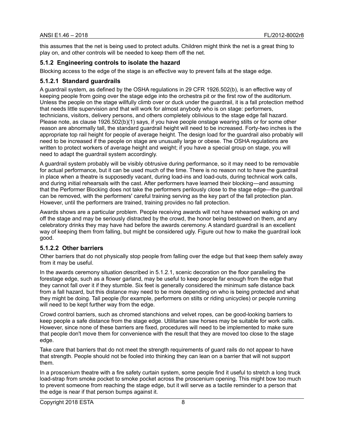this assumes that the net is being used to protect adults. Children might think the net is a great thing to play on, and other controls will be needed to keep them off the net.

#### <span id="page-16-2"></span>**5.1.2 Engineering controls to isolate the hazard**

Blocking access to the edge of the stage is an effective way to prevent falls at the stage edge.

#### <span id="page-16-1"></span>**5.1.2.1 Standard guardrails**

A guardrail system, as defined by the OSHA regulations in 29 CFR 1926.502(b), is an effective way of keeping people from going over the stage edge into the orchestra pit or the first row of the auditorium. Unless the people on the stage willfully climb over or duck under the guardrail, it is a fall protection method that needs little supervision and that will work for almost anybody who is on stage: performers, technicians, visitors, delivery persons, and others completely oblivious to the stage edge fall hazard. Please note, as clause 1926.502(b)(1) says, if you have people onstage wearing stilts or for some other reason are abnormally tall, the standard guardrail height will need to be increased. Forty-two inches is the appropriate top rail height for people of average height. The design load for the guardrail also probably will need to be increased if the people on stage are unusually large or obese. The OSHA regulations are written to protect workers of average height and weight; if you have a special group on stage, you will need to adapt the guardrail system accordingly.

A guardrail system probably will be visibly obtrusive during performance, so it may need to be removable for actual performance, but it can be used much of the time. There is no reason not to have the guardrail in place when a theatre is supposedly vacant, during load-ins and load-outs, during technical work calls, and during initial rehearsals with the cast. After performers have learned their blocking—and assuming that the Performer Blocking does not take the performers perilously close to the stage edge—the guardrail can be removed, with the performers' careful training serving as the key part of the fall protection plan. However, until the performers are trained, training provides no fall protection.

Awards shows are a particular problem. People receiving awards will not have rehearsed walking on and off the stage and may be seriously distracted by the crowd, the honor being bestowed on them, and any celebratory drinks they may have had before the awards ceremony. A standard guardrail is an excellent way of keeping them from falling, but might be considered ugly. Figure out how to make the guardrail look good.

# <span id="page-16-0"></span>**5.1.2.2 Other barriers**

Other barriers that do not physically stop people from falling over the edge but that keep them safely away from it may be useful.

In the awards ceremony situation described in 5.1.2.1, scenic decoration on the floor paralleling the forestage edge, such as a flower garland, may be useful to keep people far enough from the edge that they cannot fall over it if they stumble. Six feet is generally considered the minimum safe distance back from a fall hazard, but this distance may need to be more depending on who is being protected and what they might be doing. Tall people (for example, performers on stilts or riding unicycles) or people running will need to be kept further way from the edge.

Crowd control barriers, such as chromed stanchions and velvet ropes, can be good-looking barriers to keep people a safe distance from the stage edge. Utilitarian saw horses may be suitable for work calls. However, since none of these barriers are fixed, procedures will need to be implemented to make sure that people don't move them for convenience with the result that they are moved too close to the stage edge.

Take care that barriers that do not meet the strength requirements of guard rails do not appear to have that strength. People should not be fooled into thinking they can lean on a barrier that will not support them.

In a proscenium theatre with a fire safety curtain system, some people find it useful to stretch a long truck load-strap from smoke pocket to smoke pocket across the proscenium opening. This might bow too much to prevent someone from reaching the stage edge, but it will serve as a tactile reminder to a person that the edge is near if that person bumps against it.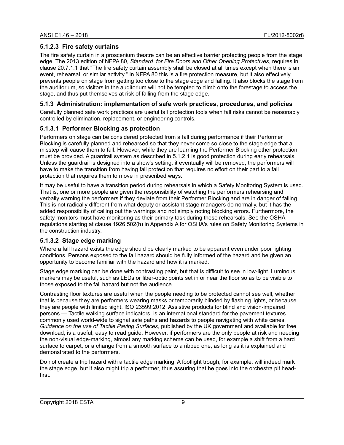# <span id="page-17-3"></span>**5.1.2.3 Fire safety curtains**

The fire safety curtain in a proscenium theatre can be an effective barrier protecting people from the stage edge. The 2013 edition of NFPA 80, *Standard for Fire Doors and Other Opening Protectives*, requires in clause 20.7.1.1 that "The fire safety curtain assembly shall be closed at all times except when there is an event, rehearsal, or similar activity." In NFPA 80 this is a fire protection measure, but it also effectively prevents people on stage from getting too close to the stage edge and falling. It also blocks the stage from the auditorium, so visitors in the auditorium will not be tempted to climb onto the forestage to access the stage, and thus put themselves at risk of falling from the stage edge.

# <span id="page-17-2"></span>**5.1.3 Administration: implementation of safe work practices, procedures, and policies**

Carefully planned safe work practices are useful fall protection tools when fall risks cannot be reasonably controlled by elimination, replacement, or engineering controls.

# <span id="page-17-1"></span>**5.1.3.1 Performer Blocking as protection**

Performers on stage can be considered protected from a fall during performance if their Performer Blocking is carefully planned and rehearsed so that they never come so close to the stage edge that a misstep will cause them to fall. However, while they are learning the Performer Blocking other protection must be provided. A guardrail system as described in 5.1.2.1 is good protection during early rehearsals. Unless the guardrail is designed into a show's setting, it eventually will be removed; the performers will have to make the transition from having fall protection that requires no effort on their part to a fall protection that requires them to move in prescribed ways.

It may be useful to have a transition period during rehearsals in which a Safety Monitoring System is used. That is, one or more people are given the responsibility of watching the performers rehearsing and verbally warning the performers if they deviate from their Performer Blocking and are in danger of falling. This is not radically different from what deputy or assistant stage managers do normally, but it has the added responsibility of calling out the warnings and not simply noting blocking errors. Furthermore, the safety monitors must have monitoring as their primary task during these rehearsals. See the OSHA regulations starting at clause 1926.502(h) in Appendix A for OSHA's rules on Safety Monitoring Systems in the construction industry.

# <span id="page-17-0"></span>**5.1.3.2 Stage edge marking**

Where a fall hazard exists the edge should be clearly marked to be apparent even under poor lighting conditions. Persons exposed to the fall hazard should be fully informed of the hazard and be given an opportunity to become familiar with the hazard and how it is marked.

Stage edge marking can be done with contrasting paint, but that is difficult to see in low-light. Luminous markers may be useful, such as LEDs or fiber-optic points set in or near the floor so as to be visible to those exposed to the fall hazard but not the audience.

Contrasting floor textures are useful when the people needing to be protected cannot see well, whether that is because they are performers wearing masks or temporarily blinded by flashing lights, or because they are people with limited sight. ISO 23599:2012, Assistive products for blind and vision-impaired persons — Tactile walking surface indicators, is an international standard for the pavement textures commonly used world-wide to signal safe paths and hazards to people navigating with white canes. *Guidance on the use of Tactile Paving Surfaces*, published by the UK government and available for free download, is a useful, easy to read guide. However, if performers are the only people at risk and needing the non-visual edge-marking, almost any marking scheme can be used, for example a shift from a hard surface to carpet, or a change from a smooth surface to a ribbed one, as long as it is explained and demonstrated to the performers.

Do not create a trip hazard with a tactile edge marking. A footlight trough, for example, will indeed mark the stage edge, but it also might trip a performer, thus assuring that he goes into the orchestra pit headfirst.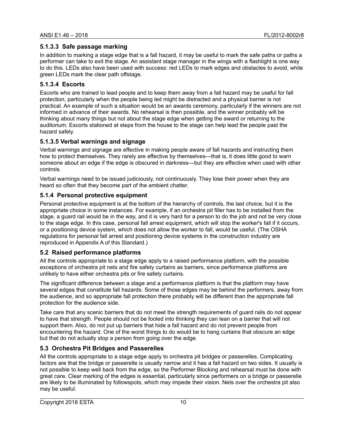# <span id="page-18-1"></span>**5.1.3.3 Safe passage marking**

In addition to marking a stage edge that is a fall hazard, it may be useful to mark the safe paths or paths a performer can take to exit the stage. An assistant stage manager in the wings with a flashlight is one way to do this. LEDs also have been used with success: red LEDs to mark edges and obstacles to avoid, while green LEDs mark the clear path offstage.

# <span id="page-18-0"></span>**5.1.3.4 Escorts**

Escorts who are trained to lead people and to keep them away from a fall hazard may be useful for fall protection, particularly when the people being led might be distracted and a physical barrier is not practical. An example of such a situation would be an awards ceremony, particularly if the winners are not informed in advance of their awards. No rehearsal is then possible, and the winner probably will be thinking about many things but not about the stage edge when getting the award or returning to the auditorium. Escorts stationed at steps from the house to the stage can help lead the people past the hazard safely.

# <span id="page-18-5"></span>**5.1.3.5 Verbal warnings and signage**

Verbal warnings and signage are effective in making people aware of fall hazards and instructing them how to protect themselves. They rarely are effective by themselves—that is, it does little good to warn someone about an edge if the edge is obscured in darkness—but they are effective when used with other controls.

Verbal warnings need to be issued judiciously, not continuously. They lose their power when they are heard so often that they become part of the ambient chatter.

# <span id="page-18-4"></span>**5.1.4 Personal protective equipment**

Personal protective equipment is at the bottom of the hierarchy of controls, the last choice, but it is the appropriate choice in some instances. For example, if an orchestra pit filler has to be installed from the stage, a guard rail would be in the way, and it is very hard for a person to do the job and not be very close to the stage edge. In this case, personal fall arrest equipment, which will stop the worker's fall if it occurs, or a positioning device system, which does not allow the worker to fall, would be useful. (The OSHA regulations for personal fall arrest and positioning device systems in the construction industry are reproduced in Appendix A of this Standard.)

# <span id="page-18-3"></span>**5.2 Raised performance platforms**

All the controls appropriate to a stage edge apply to a raised performance platform, with the possible exceptions of orchestra pit nets and fire safety curtains as barriers, since performance platforms are unlikely to have either orchestra pits or fire safety curtains.

The significant difference between a stage and a performance platform is that the platform may have several edges that constitute fall hazards. Some of those edges may be behind the performers, away from the audience, and so appropriate fall protection there probably will be different than the appropriate fall protection for the audience side.

Take care that any scenic barriers that do not meet the strength requirements of guard rails do not appear to have that strength. People should not be fooled into thinking they can lean on a barrier that will not support them. Also, do not put up barriers that hide a fall hazard and do not prevent people from encountering the hazard. One of the worst things to do would be to hang curtains that obscure an edge but that do not actually stop a person from going over the edge.

# <span id="page-18-2"></span>**5.3 Orchestra Pit Bridges and Passerelles**

All the controls appropriate to a stage edge apply to orchestra pit bridges or passerelles. Complicating factors are that the bridge or passerelle is usually narrow and it has a fall hazard on two sides. It usually is not possible to keep well back from the edge, so the Performer Blocking and rehearsal must be done with great care. Clear marking of the edges is essential, particularly since performers on a bridge or passerelle are likely to be illuminated by followspots, which may impede their vision. Nets over the orchestra pit also may be useful.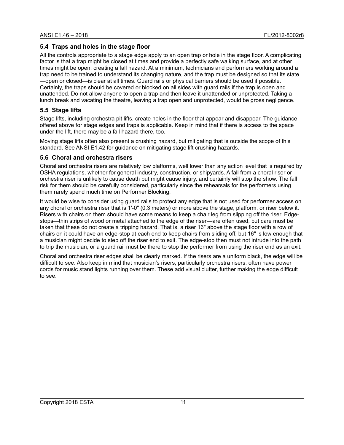# <span id="page-19-2"></span>**5.4 Traps and holes in the stage floor**

All the controls appropriate to a stage edge apply to an open trap or hole in the stage floor. A complicating factor is that a trap might be closed at times and provide a perfectly safe walking surface, and at other times might be open, creating a fall hazard. At a minimum, technicians and performers working around a trap need to be trained to understand its changing nature, and the trap must be designed so that its state —open or closed—is clear at all times. Guard rails or physical barriers should be used if possible. Certainly, the traps should be covered or blocked on all sides with guard rails if the trap is open and unattended. Do not allow anyone to open a trap and then leave it unattended or unprotected. Taking a lunch break and vacating the theatre, leaving a trap open and unprotected, would be gross negligence.

# <span id="page-19-1"></span>**5.5 Stage lifts**

Stage lifts, including orchestra pit lifts, create holes in the floor that appear and disappear. The guidance offered above for stage edges and traps is applicable. Keep in mind that if there is access to the space under the lift, there may be a fall hazard there, too.

Moving stage lifts often also present a crushing hazard, but mitigating that is outside the scope of this standard. See ANSI E1.42 for guidance on mitigating stage lift crushing hazards.

# <span id="page-19-0"></span>**5.6 Choral and orchestra risers**

Choral and orchestra risers are relatively low platforms, well lower than any action level that is required by OSHA regulations, whether for general industry, construction, or shipyards. A fall from a choral riser or orchestra riser is unlikely to cause death but might cause injury, and certainly will stop the show. The fall risk for them should be carefully considered, particularly since the rehearsals for the performers using them rarely spend much time on Performer Blocking.

It would be wise to consider using guard rails to protect any edge that is not used for performer access on any choral or orchestra riser that is 1'-0" (0.3 meters) or more above the stage, platform, or riser below it. Risers with chairs on them should have some means to keep a chair leg from slipping off the riser. Edgestops—thin strips of wood or metal attached to the edge of the riser—are often used, but care must be taken that these do not create a tripping hazard. That is, a riser 16" above the stage floor with a row of chairs on it could have an edge-stop at each end to keep chairs from sliding off, but 16" is low enough that a musician might decide to step off the riser end to exit. The edge-stop then must not intrude into the path to trip the musician, or a guard rail must be there to stop the performer from using the riser end as an exit.

Choral and orchestra riser edges shall be clearly marked. If the risers are a uniform black, the edge will be difficult to see. Also keep in mind that musician's risers, particularly orchestra risers, often have power cords for music stand lights running over them. These add visual clutter, further making the edge difficult to see.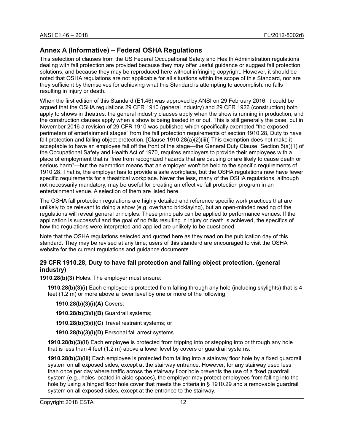# <span id="page-20-1"></span>**Annex A (Informative) – Federal OSHA Regulations**

This selection of clauses from the US Federal Occupational Safety and Health Administration regulations dealing with fall protection are provided because they may offer useful guidance or suggest fall protection solutions, and because they may be reproduced here without infringing copyright. However, it should be noted that OSHA regulations are not applicable for all situations within the scope of this Standard, nor are they sufficient by themselves for achieving what this Standard is attempting to accomplish: no falls resulting in injury or death.

When the first edition of this Standard (E1.46) was approved by ANSI on 29 February 2016, it could be argued that the OSHA regulations 29 CFR 1910 (general industry) and 29 CFR 1926 (construction) both apply to shows in theatres: the general industry clauses apply when the show is running in production, and the construction clauses apply when a show is being loaded in or out. This is still generally the case, but in November 2016 a revision of 29 CFR 1910 was published which specifically exempted "the exposed perimeters of entertainment stages" from the fall protection requirements of section 1910.28, Duty to have fall protection and falling object protection. [Clause 1910.28(a)(2)(iii)] This exemption does not make it acceptable to have an employee fall off the front of the stage—the General Duty Clause, Section 5(a)(1) of the Occupational Safety and Health Act of 1970, requires employers to provide their employees with a place of employment that is "free from recognized hazards that are causing or are likely to cause death or serious harm"—but the exemption means that an employer won't be held to the specific requirements of 1910.28. That is, the employer has to provide a safe workplace, but the OSHA regulations now have fewer specific requirements for a theatrical workplace. Never the less, many of the OSHA regulations, although not necessarily mandatory, may be useful for creating an effective fall protection program in an entertainment venue. A selection of them are listed here.

The OSHA fall protection regulations are highly detailed and reference specific work practices that are unlikely to be relevant to doing a show (e.g. overhand bricklaying), but an open-minded reading of the regulations will reveal general principles. These principals can be applied to performance venues. If the application is successful and the goal of no falls resulting in injury or death is achieved, the specifics of how the regulations were interpreted and applied are unlikely to be questioned.

Note that the OSHA regulations selected and quoted here as they read on the publication day of this standard. They may be revised at any time; users of this standard are encouraged to visit the OSHA website for the current regulations and guidance documents.

# <span id="page-20-0"></span>**29 CFR 1910.28, Duty to have fall protection and falling object protection. (general industry)**

**1910.28(b)(3)** Holes. The employer must ensure:

**1910.28(b)(3)(i)** Each employee is protected from falling through any hole (including skylights) that is 4 feet (1.2 m) or more above a lower level by one or more of the following:

**1910.28(b)(3)(i)(A)** Covers;

**1910.28(b)(3)(i)(B)** Guardrail systems;

**1910.28(b)(3)(i)(C)** Travel restraint systems; or

**1910.28(b)(3)(i)(D)** Personal fall arrest systems.

**1910.28(b)(3)(ii)** Each employee is protected from tripping into or stepping into or through any hole that is less than 4 feet (1.2 m) above a lower level by covers or guardrail systems.

**1910.28(b)(3)(iii)** Each employee is protected from falling into a stairway floor hole by a fixed guardrail system on all exposed sides, except at the stairway entrance. However, for any stairway used less than once per day where traffic across the stairway floor hole prevents the use of a fixed guardrail system (e.g., holes located in aisle spaces), the employer may protect employees from falling into the hole by using a hinged floor hole cover that meets the criteria in § 1910.29 and a removable guardrail system on all exposed sides, except at the entrance to the stairway.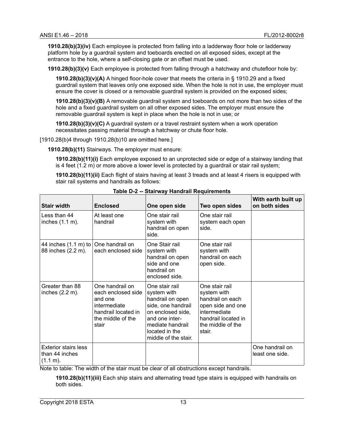**1910.28(b)(3)(iv)** Each employee is protected from falling into a ladderway floor hole or ladderway platform hole by a guardrail system and toeboards erected on all exposed sides, except at the entrance to the hole, where a self-closing gate or an offset must be used.

**1910.28(b)(3)(v)** Each employee is protected from falling through a hatchway and chutefloor hole by:

**1910.28(b)(3)(v)(A)** A hinged floor-hole cover that meets the criteria in § 1910.29 and a fixed guardrail system that leaves only one exposed side. When the hole is not in use, the employer must ensure the cover is closed or a removable guardrail system is provided on the exposed sides;

**1910.28(b)(3)(v)(B)** A removable guardrail system and toeboards on not more than two sides of the hole and a fixed guardrail system on all other exposed sides. The employer must ensure the removable guardrail system is kept in place when the hole is not in use; or

**1910.28(b)(3)(v)(C)** A guardrail system or a travel restraint system when a work operation necessitates passing material through a hatchway or chute floor hole.

[1910.28(b)4 through 1910.28(b)10 are omitted here.]

**1910.28(b)(11)** Stairways. The employer must ensure:

**1910.28(b)(11)(i)** Each employee exposed to an unprotected side or edge of a stairway landing that is 4 feet (1.2 m) or more above a lower level is protected by a guardrail or stair rail system;

**1910.28(b)(11)(ii)** Each flight of stairs having at least 3 treads and at least 4 risers is equipped with stair rail systems and handrails as follows:

| <b>Stair width</b>                                        | <b>Enclosed</b>                                                                                                       | .<br>One open side                                                                                                                                                           | Two open sides                                                                                                                               | With earth built up<br>on both sides |
|-----------------------------------------------------------|-----------------------------------------------------------------------------------------------------------------------|------------------------------------------------------------------------------------------------------------------------------------------------------------------------------|----------------------------------------------------------------------------------------------------------------------------------------------|--------------------------------------|
| Less than 44<br>inches (1.1 m).                           | At least one<br>handrail                                                                                              | One stair rail<br>system with<br>handrail on open<br>side.                                                                                                                   | One stair rail<br>system each open<br>side.                                                                                                  |                                      |
| 44 inches (1.1 m) to<br>88 inches (2.2 m).                | One handrail on<br>each enclosed side                                                                                 | One Stair rail<br>system with<br>handrail on open<br>side and one<br>handrail on<br>enclosed side.                                                                           | One stair rail<br>system with<br>handrail on each<br>open side.                                                                              |                                      |
| Greater than 88<br>inches $(2.2 \text{ m})$ .             | One handrail on<br>each enclosed side<br>and one<br>intermediate<br>handrail located in<br>the middle of the<br>stair | One stair rail<br>system with<br>handrail on open<br>side, one handrail<br>on enclosed side,<br>and one inter-<br>mediate handrail<br>located in the<br>middle of the stair. | One stair rail<br>system with<br>handrail on each<br>open side and one<br>intermediate<br>handrail located in<br>the middle of the<br>stair. |                                      |
| <b>Exterior stairs less</b><br>than 44 inches<br>(1.1 m). |                                                                                                                       |                                                                                                                                                                              |                                                                                                                                              | One handrail on<br>least one side.   |

| Table D-2 -- Stairway Handrail Requirements |  |  |
|---------------------------------------------|--|--|
|                                             |  |  |

Note to table: The width of the stair must be clear of all obstructions except handrails.

**1910.28(b)(11)(iii)** Each ship stairs and alternating tread type stairs is equipped with handrails on both sides.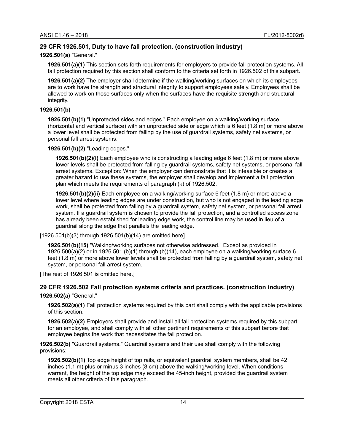# <span id="page-22-1"></span>**29 CFR 1926.501, Duty to have fall protection. (construction industry)**

#### **1926.501(a)** "General."

**1926.501(a)(1)** This section sets forth requirements for employers to provide fall protection systems. All fall protection required by this section shall conform to the criteria set forth in 1926.502 of this subpart.

**1926.501(a)(2)** The employer shall determine if the walking/working surfaces on which its employees are to work have the strength and structural integrity to support employees safely. Employees shall be allowed to work on those surfaces only when the surfaces have the requisite strength and structural integrity.

#### **1926.501(b)**

**1926.501(b)(1)** "Unprotected sides and edges." Each employee on a walking/working surface (horizontal and vertical surface) with an unprotected side or edge which is 6 feet (1.8 m) or more above a lower level shall be protected from falling by the use of guardrail systems, safety net systems, or personal fall arrest systems.

**1926.501(b)(2)** "Leading edges."

**1926.501(b)(2)(i)** Each employee who is constructing a leading edge 6 feet (1.8 m) or more above lower levels shall be protected from falling by guardrail systems, safety net systems, or personal fall arrest systems. Exception: When the employer can demonstrate that it is infeasible or creates a greater hazard to use these systems, the employer shall develop and implement a fall protection plan which meets the requirements of paragraph (k) of 1926.502.

**1926.501(b)(2)(ii)** Each employee on a walking/working surface 6 feet (1.8 m) or more above a lower level where leading edges are under construction, but who is not engaged in the leading edge work, shall be protected from falling by a guardrail system, safety net system, or personal fall arrest system. If a guardrail system is chosen to provide the fall protection, and a controlled access zone has already been established for leading edge work, the control line may be used in lieu of a guardrail along the edge that parallels the leading edge.

[1926.501(b)(3) through 1926.501(b)(14) are omitted here]

**1926.501(b)(15)** "Walking/working surfaces not otherwise addressed." Except as provided in 1926.500(a)(2) or in 1926.501 (b)(1) through (b)(14), each employee on a walking/working surface 6 feet (1.8 m) or more above lower levels shall be protected from falling by a guardrail system, safety net system, or personal fall arrest system.

[The rest of 1926.501 is omitted here.]

# <span id="page-22-0"></span>**29 CFR 1926.502 Fall protection systems criteria and practices. (construction industry)**

**1926.502(a)** "General."

**1926.502(a)(1)** Fall protection systems required by this part shall comply with the applicable provisions of this section.

**1926.502(a)(2)** Employers shall provide and install all fall protection systems required by this subpart for an employee, and shall comply with all other pertinent requirements of this subpart before that employee begins the work that necessitates the fall protection.

**1926.502(b)** "Guardrail systems." Guardrail systems and their use shall comply with the following provisions:

**1926.502(b)(1)** Top edge height of top rails, or equivalent guardrail system members, shall be 42 inches (1.1 m) plus or minus 3 inches (8 cm) above the walking/working level. When conditions warrant, the height of the top edge may exceed the 45-inch height, provided the guardrail system meets all other criteria of this paragraph.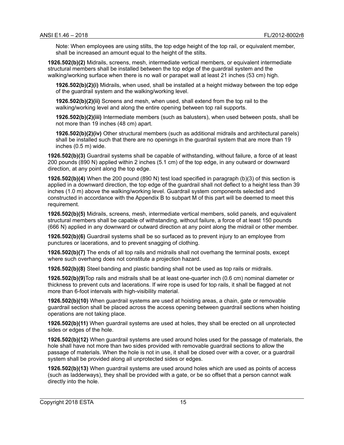Note: When employees are using stilts, the top edge height of the top rail, or equivalent member, shall be increased an amount equal to the height of the stilts.

**1926.502(b)(2)** Midrails, screens, mesh, intermediate vertical members, or equivalent intermediate structural members shall be installed between the top edge of the guardrail system and the walking/working surface when there is no wall or parapet wall at least 21 inches (53 cm) high.

**1926.502(b)(2)(i)** Midrails, when used, shall be installed at a height midway between the top edge of the guardrail system and the walking/working level.

**1926.502(b)(2)(ii)** Screens and mesh, when used, shall extend from the top rail to the walking/working level and along the entire opening between top rail supports.

**1926.502(b)(2)(iii)** Intermediate members (such as balusters), when used between posts, shall be not more than 19 inches (48 cm) apart.

**1926.502(b)(2)(iv)** Other structural members (such as additional midrails and architectural panels) shall be installed such that there are no openings in the guardrail system that are more than 19 inches (0.5 m) wide.

**1926.502(b)(3)** Guardrail systems shall be capable of withstanding, without failure, a force of at least 200 pounds (890 N) applied within 2 inches (5.1 cm) of the top edge, in any outward or downward direction, at any point along the top edge.

**1926.502(b)(4)** When the 200 pound (890 N) test load specified in paragraph (b)(3) of this section is applied in a downward direction, the top edge of the guardrail shall not deflect to a height less than 39 inches (1.0 m) above the walking/working level. Guardrail system components selected and constructed in accordance with the Appendix B to subpart M of this part will be deemed to meet this requirement.

**1926.502(b)(5)** Midrails, screens, mesh, intermediate vertical members, solid panels, and equivalent structural members shall be capable of withstanding, without failure, a force of at least 150 pounds (666 N) applied in any downward or outward direction at any point along the midrail or other member.

**1926.502(b)(6)** Guardrail systems shall be so surfaced as to prevent injury to an employee from punctures or lacerations, and to prevent snagging of clothing.

**1926.502(b)(7)** The ends of all top rails and midrails shall not overhang the terminal posts, except where such overhang does not constitute a projection hazard.

**1926.502(b)(8)** Steel banding and plastic banding shall not be used as top rails or midrails.

**1926.502(b)(9)**Top rails and midrails shall be at least one-quarter inch (0.6 cm) nominal diameter or thickness to prevent cuts and lacerations. If wire rope is used for top rails, it shall be flagged at not more than 6-foot intervals with high-visibility material.

**1926.502(b)(10)** When guardrail systems are used at hoisting areas, a chain, gate or removable guardrail section shall be placed across the access opening between guardrail sections when hoisting operations are not taking place.

**1926.502(b)(11)** When guardrail systems are used at holes, they shall be erected on all unprotected sides or edges of the hole.

**1926.502(b)(12)** When guardrail systems are used around holes used for the passage of materials, the hole shall have not more than two sides provided with removable guardrail sections to allow the passage of materials. When the hole is not in use, it shall be closed over with a cover, or a guardrail system shall be provided along all unprotected sides or edges.

**1926.502(b)(13)** When guardrail systems are used around holes which are used as points of access (such as ladderways), they shall be provided with a gate, or be so offset that a person cannot walk directly into the hole.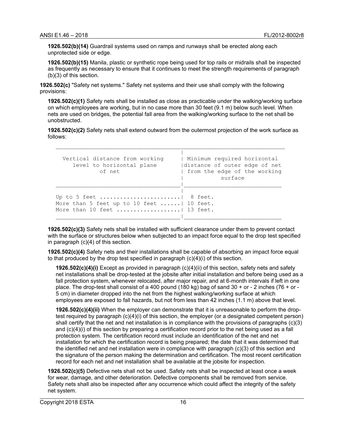**1926.502(b)(14)** Guardrail systems used on ramps and runways shall be erected along each unprotected side or edge.

**1926.502(b)(15)** Manila, plastic or synthetic rope being used for top rails or midrails shall be inspected as frequently as necessary to ensure that it continues to meet the strength requirements of paragraph (b)(3) of this section.

**1926.502(c)** "Safety net systems." Safety net systems and their use shall comply with the following provisions:

**1926.502(c)(1)** Safety nets shall be installed as close as practicable under the walking/working surface on which employees are working, but in no case more than 30 feet (9.1 m) below such level. When nets are used on bridges, the potential fall area from the walking/working surface to the net shall be unobstructed.

**1926.502(c)(2)** Safety nets shall extend outward from the outermost projection of the work surface as follows:

\_\_\_\_\_\_\_\_\_\_\_\_\_\_\_\_\_\_\_\_\_\_\_\_\_\_\_\_\_\_\_\_\_\_\_\_\_\_\_\_\_\_\_\_\_\_\_\_\_\_\_\_\_\_\_\_\_\_\_\_\_\_\_\_\_\_\_\_

| Vertical distance from working<br>level to horizontal plane<br>of net                                     | Minimum required horizontal<br>distance of outer edge of net<br>  from the edge of the working<br>surface |
|-----------------------------------------------------------------------------------------------------------|-----------------------------------------------------------------------------------------------------------|
| Up to 5 feet   8 feet.<br>More than 5 feet up to 10 feet $\dots$ 10 feet.<br>More than 10 feet   13 feet. |                                                                                                           |

**1926.502(c)(3)** Safety nets shall be installed with sufficient clearance under them to prevent contact with the surface or structures below when subjected to an impact force equal to the drop test specified in paragraph (c)(4) of this section.

**1926.502(c)(4)** Safety nets and their installations shall be capable of absorbing an impact force equal to that produced by the drop test specified in paragraph  $(c)(4)(i)$  of this section.

**1926.502(c)(4)(i)** Except as provided in paragraph (c)(4)(ii) of this section, safety nets and safety net installations shall be drop-tested at the jobsite after initial installation and before being used as a fall protection system, whenever relocated, after major repair, and at 6-month intervals if left in one place. The drop-test shall consist of a 400 pound (180 kg) bag of sand  $30 + or - 2$  inches (76 + or -5 cm) in diameter dropped into the net from the highest walking/working surface at which employees are exposed to fall hazards, but not from less than 42 inches (1.1 m) above that level.

**1926.502(c)(4)(ii)** When the employer can demonstrate that it is unreasonable to perform the droptest required by paragraph (c)(4)(i) of this section, the employer (or a designated competent person) shall certify that the net and net installation is in compliance with the provisions of paragraphs (c)(3) and (c)(4)(i) of this section by preparing a certification record prior to the net being used as a fall protection system. The certification record must include an identification of the net and net installation for which the certification record is being prepared; the date that it was determined that the identified net and net installation were in compliance with paragraph (c)(3) of this section and the signature of the person making the determination and certification. The most recent certification record for each net and net installation shall be available at the jobsite for inspection.

**1926.502(c)(5)** Defective nets shall not be used. Safety nets shall be inspected at least once a week for wear, damage, and other deterioration. Defective components shall be removed from service. Safety nets shall also be inspected after any occurrence which could affect the integrity of the safety net system.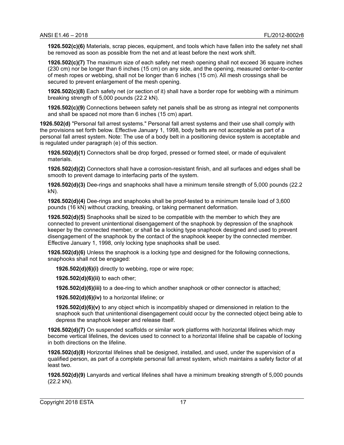**1926.502(c)(6)** Materials, scrap pieces, equipment, and tools which have fallen into the safety net shall be removed as soon as possible from the net and at least before the next work shift.

**1926.502(c)(7)** The maximum size of each safety net mesh opening shall not exceed 36 square inches (230 cm) nor be longer than 6 inches (15 cm) on any side, and the opening, measured center-to-center of mesh ropes or webbing, shall not be longer than 6 inches (15 cm). All mesh crossings shall be secured to prevent enlargement of the mesh opening.

**1926.502(c)(8)** Each safety net (or section of it) shall have a border rope for webbing with a minimum breaking strength of 5,000 pounds (22.2 kN).

**1926.502(c)(9)** Connections between safety net panels shall be as strong as integral net components and shall be spaced not more than 6 inches (15 cm) apart.

**1926.502(d)** "Personal fall arrest systems." Personal fall arrest systems and their use shall comply with the provisions set forth below. Effective January 1, 1998, body belts are not acceptable as part of a personal fall arrest system. Note: The use of a body belt in a positioning device system is acceptable and is regulated under paragraph (e) of this section.

**1926.502(d)(1)** Connectors shall be drop forged, pressed or formed steel, or made of equivalent materials.

**1926.502(d)(2)** Connectors shall have a corrosion-resistant finish, and all surfaces and edges shall be smooth to prevent damage to interfacing parts of the system.

**1926.502(d)(3)** Dee-rings and snaphooks shall have a minimum tensile strength of 5,000 pounds (22.2 kN).

**1926.502(d)(4)** Dee-rings and snaphooks shall be proof-tested to a minimum tensile load of 3,600 pounds (16 kN) without cracking, breaking, or taking permanent deformation.

**1926.502(d)(5)** Snaphooks shall be sized to be compatible with the member to which they are connected to prevent unintentional disengagement of the snaphook by depression of the snaphook keeper by the connected member, or shall be a locking type snaphook designed and used to prevent disengagement of the snaphook by the contact of the snaphook keeper by the connected member. Effective January 1, 1998, only locking type snaphooks shall be used.

**1926.502(d)(6)** Unless the snaphook is a locking type and designed for the following connections, snaphooks shall not be engaged:

**1926.502(d)(6)(i)** directly to webbing, rope or wire rope;

**1926.502(d)(6)(ii)** to each other;

**1926.502(d)(6)(iii)** to a dee-ring to which another snaphook or other connector is attached;

**1926.502(d)(6)(iv)** to a horizontal lifeline; or

**1926.502(d)(6)(v)** to any object which is incompatibly shaped or dimensioned in relation to the snaphook such that unintentional disengagement could occur by the connected object being able to depress the snaphook keeper and release itself.

**1926.502(d)(7)** On suspended scaffolds or similar work platforms with horizontal lifelines which may become vertical lifelines, the devices used to connect to a horizontal lifeline shall be capable of locking in both directions on the lifeline.

**1926.502(d)(8)** Horizontal lifelines shall be designed, installed, and used, under the supervision of a qualified person, as part of a complete personal fall arrest system, which maintains a safety factor of at least two.

**1926.502(d)(9)** Lanyards and vertical lifelines shall have a minimum breaking strength of 5,000 pounds (22.2 kN).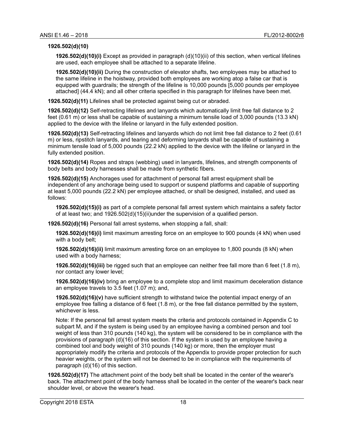#### **1926.502(d)(10)**

**1926.502(d)(10)(i)** Except as provided in paragraph (d)(10)(ii) of this section, when vertical lifelines are used, each employee shall be attached to a separate lifeline.

**1926.502(d)(10)(ii)** During the construction of elevator shafts, two employees may be attached to the same lifeline in the hoistway, provided both employees are working atop a false car that is equipped with guardrails; the strength of the lifeline is 10,000 pounds [5,000 pounds per employee attached] (44.4 kN); and all other criteria specified in this paragraph for lifelines have been met.

**1926.502(d)(11)** Lifelines shall be protected against being cut or abraded.

**1926.502(d)(12)** Self-retracting lifelines and lanyards which automatically limit free fall distance to 2 feet (0.61 m) or less shall be capable of sustaining a minimum tensile load of 3,000 pounds (13.3 kN) applied to the device with the lifeline or lanyard in the fully extended position.

**1926.502(d)(13)** Self-retracting lifelines and lanyards which do not limit free fall distance to 2 feet (0.61 m) or less, ripstitch lanyards, and tearing and deforming lanyards shall be capable of sustaining a minimum tensile load of 5,000 pounds (22.2 kN) applied to the device with the lifeline or lanyard in the fully extended position.

**1926.502(d)(14)** Ropes and straps (webbing) used in lanyards, lifelines, and strength components of body belts and body harnesses shall be made from synthetic fibers.

**1926.502(d)(15)** Anchorages used for attachment of personal fall arrest equipment shall be independent of any anchorage being used to support or suspend platforms and capable of supporting at least 5,000 pounds (22.2 kN) per employee attached, or shall be designed, installed, and used as follows:

**1926.502(d)(15)(i)** as part of a complete personal fall arrest system which maintains a safety factor of at least two; and 1926.502(d)(15)(ii)under the supervision of a qualified person.

**1926.502(d)(16)** Personal fall arrest systems, when stopping a fall, shall:

**1926.502(d)(16)(i)** limit maximum arresting force on an employee to 900 pounds (4 kN) when used with a body belt;

**1926.502(d)(16)(ii)** limit maximum arresting force on an employee to 1,800 pounds (8 kN) when used with a body harness;

**1926.502(d)(16)(iii)** be rigged such that an employee can neither free fall more than 6 feet (1.8 m), nor contact any lower level;

**1926.502(d)(16)(iv)** bring an employee to a complete stop and limit maximum deceleration distance an employee travels to 3.5 feet (1.07 m); and,

**1926.502(d)(16)(v)** have sufficient strength to withstand twice the potential impact energy of an employee free falling a distance of 6 feet (1.8 m), or the free fall distance permitted by the system, whichever is less.

Note: If the personal fall arrest system meets the criteria and protocols contained in Appendix C to subpart M, and if the system is being used by an employee having a combined person and tool weight of less than 310 pounds (140 kg), the system will be considered to be in compliance with the provisions of paragraph (d)(16) of this section. If the system is used by an employee having a combined tool and body weight of 310 pounds (140 kg) or more, then the employer must appropriately modify the criteria and protocols of the Appendix to provide proper protection for such heavier weights, or the system will not be deemed to be in compliance with the requirements of paragraph (d)(16) of this section.

**1926.502(d)(17)** The attachment point of the body belt shall be located in the center of the wearer's back. The attachment point of the body harness shall be located in the center of the wearer's back near shoulder level, or above the wearer's head.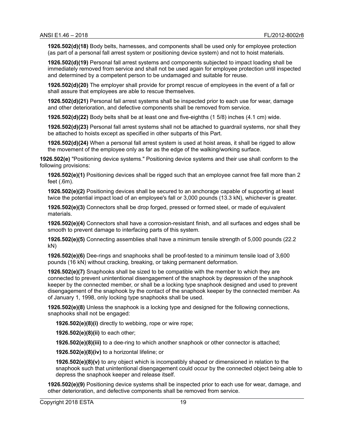**1926.502(d)(18)** Body belts, harnesses, and components shall be used only for employee protection (as part of a personal fall arrest system or positioning device system) and not to hoist materials.

**1926.502(d)(19)** Personal fall arrest systems and components subjected to impact loading shall be immediately removed from service and shall not be used again for employee protection until inspected and determined by a competent person to be undamaged and suitable for reuse.

**1926.502(d)(20)** The employer shall provide for prompt rescue of employees in the event of a fall or shall assure that employees are able to rescue themselves.

**1926.502(d)(21)** Personal fall arrest systems shall be inspected prior to each use for wear, damage and other deterioration, and defective components shall be removed from service.

**1926.502(d)(22)** Body belts shall be at least one and five-eighths (1 5/8) inches (4.1 cm) wide.

**1926.502(d)(23)** Personal fall arrest systems shall not be attached to guardrail systems, nor shall they be attached to hoists except as specified in other subparts of this Part.

**1926.502(d)(24)** When a personal fall arrest system is used at hoist areas, it shall be rigged to allow the movement of the employee only as far as the edge of the walking/working surface.

**1926.502(e)** "Positioning device systems." Positioning device systems and their use shall conform to the following provisions:

**1926.502(e)(1)** Positioning devices shall be rigged such that an employee cannot free fall more than 2 feet (.6m).

**1926.502(e)(2)** Positioning devices shall be secured to an anchorage capable of supporting at least twice the potential impact load of an employee's fall or 3,000 pounds (13.3 kN), whichever is greater.

**1926.502(e)(3)** Connectors shall be drop forged, pressed or formed steel, or made of equivalent materials.

**1926.502(e)(4)** Connectors shall have a corrosion-resistant finish, and all surfaces and edges shall be smooth to prevent damage to interfacing parts of this system.

**1926.502(e)(5)** Connecting assemblies shall have a minimum tensile strength of 5,000 pounds (22.2 kN)

**1926.502(e)(6)** Dee-rings and snaphooks shall be proof-tested to a minimum tensile load of 3,600 pounds (16 kN) without cracking, breaking, or taking permanent deformation.

**1926.502(e)(7)** Snaphooks shall be sized to be compatible with the member to which they are connected to prevent unintentional disengagement of the snaphook by depression of the snaphook keeper by the connected member, or shall be a locking type snaphook designed and used to prevent disengagement of the snaphook by the contact of the snaphook keeper by the connected member. As of January 1, 1998, only locking type snaphooks shall be used.

**1926.502(e)(8)** Unless the snaphook is a locking type and designed for the following connections, snaphooks shall not be engaged:

**1926.502(e)(8)(i)** directly to webbing, rope or wire rope;

**1926.502(e)(8)(ii)** to each other;

**1926.502(e)(8)(iii)** to a dee-ring to which another snaphook or other connector is attached;

**1926.502(e)(8)(iv)** to a horizontal lifeline; or

**1926.502(e)(8)(v)** to any object which is incompatibly shaped or dimensioned in relation to the snaphook such that unintentional disengagement could occur by the connected object being able to depress the snaphook keeper and release itself.

**1926.502(e)(9)** Positioning device systems shall be inspected prior to each use for wear, damage, and other deterioration, and defective components shall be removed from service.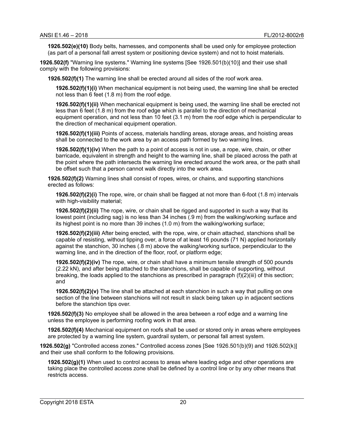**1926.502(e)(10)** Body belts, harnesses, and components shall be used only for employee protection (as part of a personal fall arrest system or positioning device system) and not to hoist materials.

**1926.502(f)** "Warning line systems." Warning line systems [See 1926.501(b)(10)] and their use shall comply with the following provisions:

**1926.502(f)(1)** The warning line shall be erected around all sides of the roof work area.

**1926.502(f)(1)(i)** When mechanical equipment is not being used, the warning line shall be erected not less than 6 feet (1.8 m) from the roof edge.

**1926.502(f)(1)(ii)** When mechanical equipment is being used, the warning line shall be erected not less than 6 feet (1.8 m) from the roof edge which is parallel to the direction of mechanical equipment operation, and not less than 10 feet (3.1 m) from the roof edge which is perpendicular to the direction of mechanical equipment operation.

**1926.502(f)(1)(iii)** Points of access, materials handling areas, storage areas, and hoisting areas shall be connected to the work area by an access path formed by two warning lines.

**1926.502(f)(1)(iv)** When the path to a point of access is not in use, a rope, wire, chain, or other barricade, equivalent in strength and height to the warning line, shall be placed across the path at the point where the path intersects the warning line erected around the work area, or the path shall be offset such that a person cannot walk directly into the work area.

**1926.502(f)(2)** Warning lines shall consist of ropes, wires, or chains, and supporting stanchions erected as follows:

**1926.502(f)(2)(i)** The rope, wire, or chain shall be flagged at not more than 6-foot (1.8 m) intervals with high-visibility material;

**1926.502(f)(2)(ii)** The rope, wire, or chain shall be rigged and supported in such a way that its lowest point (including sag) is no less than 34 inches (.9 m) from the walking/working surface and its highest point is no more than 39 inches (1.0 m) from the walking/working surface;

**1926.502(f)(2)(iii)** After being erected, with the rope, wire, or chain attached, stanchions shall be capable of resisting, without tipping over, a force of at least 16 pounds (71 N) applied horizontally against the stanchion, 30 inches (.8 m) above the walking/working surface, perpendicular to the warning line, and in the direction of the floor, roof, or platform edge;

**1926.502(f)(2)(iv)** The rope, wire, or chain shall have a minimum tensile strength of 500 pounds (2.22 kN), and after being attached to the stanchions, shall be capable of supporting, without breaking, the loads applied to the stanchions as prescribed in paragraph (f)(2)(iii) of this section; and

**1926.502(f)(2)(v)** The line shall be attached at each stanchion in such a way that pulling on one section of the line between stanchions will not result in slack being taken up in adjacent sections before the stanchion tips over.

**1926.502(f)(3)** No employee shall be allowed in the area between a roof edge and a warning line unless the employee is performing roofing work in that area.

**1926.502(f)(4)** Mechanical equipment on roofs shall be used or stored only in areas where employees are protected by a warning line system, guardrail system, or personal fall arrest system.

**1926.502(g)** "Controlled access zones." Controlled access zones [See 1926.501(b)(9) and 1926.502(k)] and their use shall conform to the following provisions.

**1926.502(g)(1)** When used to control access to areas where leading edge and other operations are taking place the controlled access zone shall be defined by a control line or by any other means that restricts access.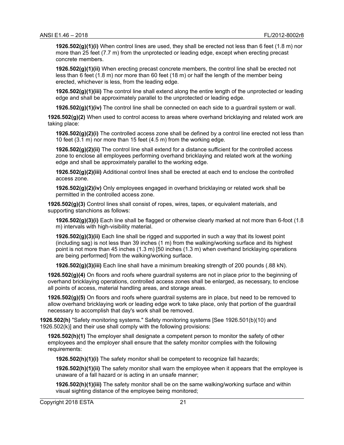**1926.502(g)(1)(i)** When control lines are used, they shall be erected not less than 6 feet (1.8 m) nor more than 25 feet (7.7 m) from the unprotected or leading edge, except when erecting precast concrete members.

**1926.502(g)(1)(ii)** When erecting precast concrete members, the control line shall be erected not less than 6 feet (1.8 m) nor more than 60 feet (18 m) or half the length of the member being erected, whichever is less, from the leading edge.

**1926.502(g)(1)(iii)** The control line shall extend along the entire length of the unprotected or leading edge and shall be approximately parallel to the unprotected or leading edge.

**1926.502(g)(1)(iv)** The control line shall be connected on each side to a guardrail system or wall.

**1926.502(g)(2)** When used to control access to areas where overhand bricklaying and related work are taking place:

**1926.502(g)(2)(i)** The controlled access zone shall be defined by a control line erected not less than 10 feet (3.1 m) nor more than 15 feet (4.5 m) from the working edge.

**1926.502(g)(2)(ii)** The control line shall extend for a distance sufficient for the controlled access zone to enclose all employees performing overhand bricklaying and related work at the working edge and shall be approximately parallel to the working edge.

**1926.502(g)(2)(iii)** Additional control lines shall be erected at each end to enclose the controlled access zone.

**1926.502(g)(2)(iv)** Only employees engaged in overhand bricklaying or related work shall be permitted in the controlled access zone.

**1926.502(g)(3)** Control lines shall consist of ropes, wires, tapes, or equivalent materials, and supporting stanchions as follows:

**1926.502(g)(3)(i)** Each line shall be flagged or otherwise clearly marked at not more than 6-foot (1.8 m) intervals with high-visibility material.

**1926.502(g)(3)(ii)** Each line shall be rigged and supported in such a way that its lowest point (including sag) is not less than 39 inches (1 m) from the walking/working surface and its highest point is not more than 45 inches (1.3 m) [50 inches (1.3 m) when overhand bricklaying operations are being performed] from the walking/working surface.

**1926.502(g)(3)(iii)** Each line shall have a minimum breaking strength of 200 pounds (.88 kN).

**1926.502(g)(4)** On floors and roofs where guardrail systems are not in place prior to the beginning of overhand bricklaying operations, controlled access zones shall be enlarged, as necessary, to enclose all points of access, material handling areas, and storage areas.

**1926.502(g)(5)** On floors and roofs where guardrail systems are in place, but need to be removed to allow overhand bricklaying work or leading edge work to take place, only that portion of the guardrail necessary to accomplish that day's work shall be removed.

**1926.502(h)** "Safety monitoring systems." Safety monitoring systems [See 1926.501(b)(10) and 1926.502(k)] and their use shall comply with the following provisions:

**1926.502(h)(1)** The employer shall designate a competent person to monitor the safety of other employees and the employer shall ensure that the safety monitor complies with the following requirements:

**1926.502(h)(1)(i)** The safety monitor shall be competent to recognize fall hazards;

**1926.502(h)(1)(ii)** The safety monitor shall warn the employee when it appears that the employee is unaware of a fall hazard or is acting in an unsafe manner;

**1926.502(h)(1)(iii)** The safety monitor shall be on the same walking/working surface and within visual sighting distance of the employee being monitored;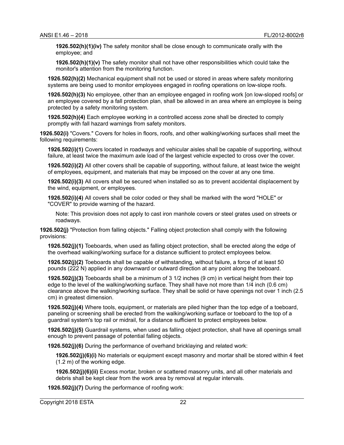**1926.502(h)(1)(iv)** The safety monitor shall be close enough to communicate orally with the employee; and

**1926.502(h)(1)(v)** The safety monitor shall not have other responsibilities which could take the monitor's attention from the monitoring function.

**1926.502(h)(2)** Mechanical equipment shall not be used or stored in areas where safety monitoring systems are being used to monitor employees engaged in roofing operations on low-slope roofs.

**1926.502(h)(3)** No employee, other than an employee engaged in roofing work [on low-sloped roofs] or an employee covered by a fall protection plan, shall be allowed in an area where an employee is being protected by a safety monitoring system.

**1926.502(h)(4)** Each employee working in a controlled access zone shall be directed to comply promptly with fall hazard warnings from safety monitors.

**1926.502(i)** "Covers." Covers for holes in floors, roofs, and other walking/working surfaces shall meet the following requirements:

**1926.502(i)(1)** Covers located in roadways and vehicular aisles shall be capable of supporting, without failure, at least twice the maximum axle load of the largest vehicle expected to cross over the cover.

**1926.502(i)(2)** All other covers shall be capable of supporting, without failure, at least twice the weight of employees, equipment, and materials that may be imposed on the cover at any one time.

**1926.502(i)(3)** All covers shall be secured when installed so as to prevent accidental displacement by the wind, equipment, or employees.

**1926.502(i)(4)** All covers shall be color coded or they shall be marked with the word "HOLE" or "COVER" to provide warning of the hazard.

Note: This provision does not apply to cast iron manhole covers or steel grates used on streets or roadways.

**1926.502(j)** "Protection from falling objects." Falling object protection shall comply with the following provisions:

**1926.502(j)(1)** Toeboards, when used as falling object protection, shall be erected along the edge of the overhead walking/working surface for a distance sufficient to protect employees below.

**1926.502(j)(2)** Toeboards shall be capable of withstanding, without failure, a force of at least 50 pounds (222 N) applied in any downward or outward direction at any point along the toeboard.

**1926.502(j)(3)** Toeboards shall be a minimum of 3 1/2 inches (9 cm) in vertical height from their top edge to the level of the walking/working surface. They shall have not more than 1/4 inch (0.6 cm) clearance above the walking/working surface. They shall be solid or have openings not over 1 inch (2.5 cm) in greatest dimension.

**1926.502(j)(4)** Where tools, equipment, or materials are piled higher than the top edge of a toeboard, paneling or screening shall be erected from the walking/working surface or toeboard to the top of a guardrail system's top rail or midrail, for a distance sufficient to protect employees below.

**1926.502(j)(5)** Guardrail systems, when used as falling object protection, shall have all openings small enough to prevent passage of potential falling objects.

**1926.502(j)(6)** During the performance of overhand bricklaying and related work:

**1926.502(j)(6)(i)** No materials or equipment except masonry and mortar shall be stored within 4 feet (1.2 m) of the working edge.

**1926.502(j)(6)(ii)** Excess mortar, broken or scattered masonry units, and all other materials and debris shall be kept clear from the work area by removal at regular intervals.

**1926.502(j)(7)** During the performance of roofing work: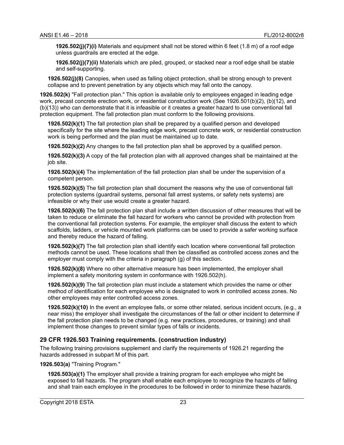**1926.502(j)(7)(i)** Materials and equipment shall not be stored within 6 feet (1.8 m) of a roof edge unless guardrails are erected at the edge.

**1926.502(j)(7)(ii)** Materials which are piled, grouped, or stacked near a roof edge shall be stable and self-supporting.

**1926.502(j)(8)** Canopies, when used as falling object protection, shall be strong enough to prevent collapse and to prevent penetration by any objects which may fall onto the canopy.

**1926.502(k)** "Fall protection plan." This option is available only to employees engaged in leading edge work, precast concrete erection work, or residential construction work (See 1926.501(b)(2), (b)(12), and (b)(13)) who can demonstrate that it is infeasible or it creates a greater hazard to use conventional fall protection equipment. The fall protection plan must conform to the following provisions.

**1926.502(k)(1)** The fall protection plan shall be prepared by a qualified person and developed specifically for the site where the leading edge work, precast concrete work, or residential construction work is being performed and the plan must be maintained up to date.

**1926.502(k)(2)** Any changes to the fall protection plan shall be approved by a qualified person.

**1926.502(k)(3)** A copy of the fall protection plan with all approved changes shall be maintained at the job site.

**1926.502(k)(4)** The implementation of the fall protection plan shall be under the supervision of a competent person.

**1926.502(k)(5)** The fall protection plan shall document the reasons why the use of conventional fall protection systems (guardrail systems, personal fall arrest systems, or safety nets systems) are infeasible or why their use would create a greater hazard.

**1926.502(k)(6)** The fall protection plan shall include a written discussion of other measures that will be taken to reduce or eliminate the fall hazard for workers who cannot be provided with protection from the conventional fall protection systems. For example, the employer shall discuss the extent to which scaffolds, ladders, or vehicle mounted work platforms can be used to provide a safer working surface and thereby reduce the hazard of falling.

**1926.502(k)(7)** The fall protection plan shall identify each location where conventional fall protection methods cannot be used. These locations shall then be classified as controlled access zones and the employer must comply with the criteria in paragraph (g) of this section.

**1926.502(k)(8)** Where no other alternative measure has been implemented, the employer shall implement a safety monitoring system in conformance with 1926.502(h).

**1926.502(k)(9)** The fall protection plan must include a statement which provides the name or other method of identification for each employee who is designated to work in controlled access zones. No other employees may enter controlled access zones.

**1926.502(k)(10)** In the event an employee falls, or some other related, serious incident occurs, (e.g., a near miss) the employer shall investigate the circumstances of the fall or other incident to determine if the fall protection plan needs to be changed (e.g. new practices, procedures, or training) and shall implement those changes to prevent similar types of falls or incidents.

#### <span id="page-31-0"></span>**29 CFR 1926.503 Training requirements. (construction industry)**

The following training provisions supplement and clarify the requirements of 1926.21 regarding the hazards addressed in subpart M of this part.

#### **1926.503(a)** "Training Program."

**1926.503(a)(1)** The employer shall provide a training program for each employee who might be exposed to fall hazards. The program shall enable each employee to recognize the hazards of falling and shall train each employee in the procedures to be followed in order to minimize these hazards.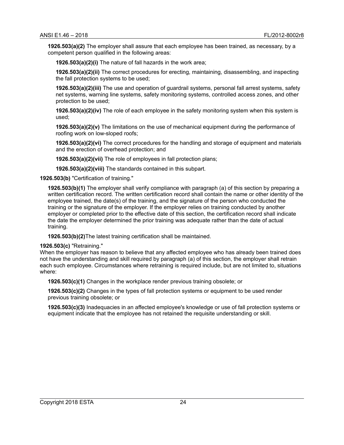**1926.503(a)(2)** The employer shall assure that each employee has been trained, as necessary, by a competent person qualified in the following areas:

**1926.503(a)(2)(i)** The nature of fall hazards in the work area;

**1926.503(a)(2)(ii)** The correct procedures for erecting, maintaining, disassembling, and inspecting the fall protection systems to be used;

**1926.503(a)(2)(iii)** The use and operation of guardrail systems, personal fall arrest systems, safety net systems, warning line systems, safety monitoring systems, controlled access zones, and other protection to be used;

**1926.503(a)(2)(iv)** The role of each employee in the safety monitoring system when this system is used;

**1926.503(a)(2)(v)** The limitations on the use of mechanical equipment during the performance of roofing work on low-sloped roofs;

**1926.503(a)(2)(vi)** The correct procedures for the handling and storage of equipment and materials and the erection of overhead protection; and

**1926.503(a)(2)(vii)** The role of employees in fall protection plans;

**1926.503(a)(2)(viii)** The standards contained in this subpart.

**1926.503(b)** "Certification of training."

**1926.503(b)(1)** The employer shall verify compliance with paragraph (a) of this section by preparing a written certification record. The written certification record shall contain the name or other identity of the employee trained, the date(s) of the training, and the signature of the person who conducted the training or the signature of the employer. If the employer relies on training conducted by another employer or completed prior to the effective date of this section, the certification record shall indicate the date the employer determined the prior training was adequate rather than the date of actual training.

**1926.503(b)(2)**The latest training certification shall be maintained.

**1926.503(c)** "Retraining."

When the employer has reason to believe that any affected employee who has already been trained does not have the understanding and skill required by paragraph (a) of this section, the employer shall retrain each such employee. Circumstances where retraining is required include, but are not limited to, situations where:

**1926.503(c)(1)** Changes in the workplace render previous training obsolete; or

**1926.503(c)(2)** Changes in the types of fall protection systems or equipment to be used render previous training obsolete; or

**1926.503(c)(3)** Inadequacies in an affected employee's knowledge or use of fall protection systems or equipment indicate that the employee has not retained the requisite understanding or skill.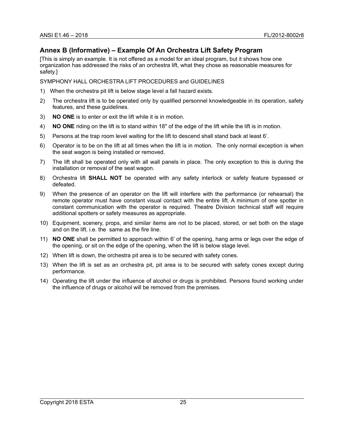# <span id="page-33-0"></span>**Annex B (Informative) – Example Of An Orchestra Lift Safety Program**

[This is simply an example. It is not offered as a model for an ideal program, but it shows how one organization has addressed the risks of an orchestra lift, what they chose as reasonable measures for safety.]

SYMPHONY HALL ORCHESTRA LIFT PROCEDURES and GUIDELINES

- 1) When the orchestra pit lift is below stage level a fall hazard exists.
- 2) The orchestra lift is to be operated only by qualified personnel knowledgeable in its operation, safety features, and these guidelines.
- 3) **NO ONE** is to enter or exit the lift while it is in motion.
- 4) **NO ONE** riding on the lift is to stand within 18" of the edge of the lift while the lift is in motion.
- 5) Persons at the trap room level waiting for the lift to descend shall stand back at least 6'.
- 6) Operator is to be on the lift at all times when the lift is in motion. The only normal exception is when the seat wagon is being installed or removed.
- 7) The lift shall be operated only with all wall panels in place. The only exception to this is during the installation or removal of the seat wagon.
- 8) Orchestra lift **SHALL NOT** be operated with any safety interlock or safety feature bypassed or defeated.
- 9) When the presence of an operator on the lift will interfere with the performance (or rehearsal) the remote operator must have constant visual contact with the entire lift. A minimum of one spotter in constant communication with the operator is required. Theatre Division technical staff will require additional spotters or safety measures as appropriate.
- 10) Equipment, scenery, props, and similar items are not to be placed, stored, or set both on the stage and on the lift. i.e. the same as the fire line.
- 11) **NO ONE** shall be permitted to approach within 6' of the opening, hang arms or legs over the edge of the opening, or sit on the edge of the opening, when the lift is below stage level.
- 12) When lift is down, the orchestra pit area is to be secured with safety cones.
- 13) When the lift is set as an orchestra pit, pit area is to be secured with safety cones except during performance.
- 14) Operating the lift under the influence of alcohol or drugs is prohibited. Persons found working under the influence of drugs or alcohol will be removed from the premises.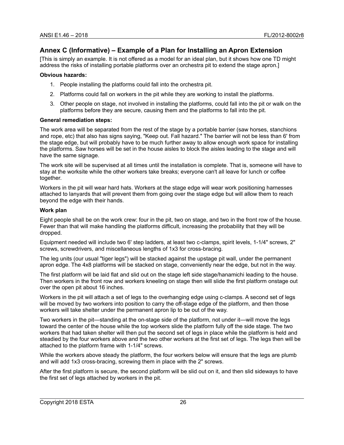# <span id="page-34-0"></span>**Annex C (Informative) – Example of a Plan for Installing an Apron Extension**

[This is simply an example. It is not offered as a model for an ideal plan, but it shows how one TD might address the risks of installing portable platforms over an orchestra pit to extend the stage apron.]

#### **Obvious hazards:**

- 1. People installing the platforms could fall into the orchestra pit.
- 2. Platforms could fall on workers in the pit while they are working to install the platforms.
- 3. Other people on stage, not involved in installing the platforms, could fall into the pit or walk on the platforms before they are secure, causing them and the platforms to fall into the pit.

#### **General remediation steps:**

The work area will be separated from the rest of the stage by a portable barrier (saw horses, stanchions and rope, etc) that also has signs saying, "Keep out. Fall hazard." The barrier will not be less than 6' from the stage edge, but will probably have to be much further away to allow enough work space for installing the platforms. Saw horses will be set in the house aisles to block the aisles leading to the stage and will have the same signage.

The work site will be supervised at all times until the installation is complete. That is, someone will have to stay at the worksite while the other workers take breaks; everyone can't all leave for lunch or coffee together.

Workers in the pit will wear hard hats. Workers at the stage edge will wear work positioning harnesses attached to lanyards that will prevent them from going over the stage edge but will allow them to reach beyond the edge with their hands.

#### **Work plan**

Eight people shall be on the work crew: four in the pit, two on stage, and two in the front row of the house. Fewer than that will make handling the platforms difficult, increasing the probability that they will be dropped.

Equipment needed will include two 6' step ladders, at least two c-clamps, spirit levels, 1-1/4" screws, 2" screws, screwdrivers, and miscellaneous lengths of 1x3 for cross-bracing.

The leg units (our usual "tiger legs") will be stacked against the upstage pit wall, under the permanent apron edge. The 4x8 platforms will be stacked on stage, conveniently near the edge, but not in the way.

The first platform will be laid flat and slid out on the stage left side stage/hanamichi leading to the house. Then workers in the front row and workers kneeling on stage then will slide the first platform onstage out over the open pit about 16 inches.

Workers in the pit will attach a set of legs to the overhanging edge using c-clamps. A second set of legs will be moved by two workers into position to carry the off-stage edge of the platform, and then those workers will take shelter under the permanent apron lip to be out of the way.

Two workers in the pit—standing at the on-stage side of the platform, not under it—will move the legs toward the center of the house while the top workers slide the platform fully off the side stage. The two workers that had taken shelter will then put the second set of legs in place while the platform is held and steadied by the four workers above and the two other workers at the first set of legs. The legs then will be attached to the platform frame with 1-1/4" screws.

While the workers above steady the platform, the four workers below will ensure that the legs are plumb and will add 1x3 cross-bracing, screwing them in place with the 2" screws.

After the first platform is secure, the second platform will be slid out on it, and then slid sideways to have the first set of legs attached by workers in the pit.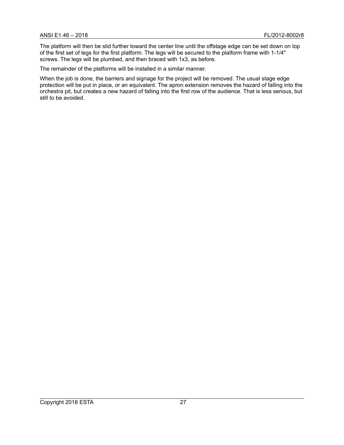The platform will then be slid further toward the center line until the offstage edge can be set down on top of the first set of legs for the first platform. The legs will be secured to the platform frame with 1-1/4" screws. The legs will be plumbed, and then braced with 1x3, as before.

The remainder of the platforms will be installed in a similar manner.

When the job is done, the barriers and signage for the project will be removed. The usual stage edge protection will be put in place, or an equivalent. The apron extension removes the hazard of falling into the orchestra pit, but creates a new hazard of falling into the first row of the audience. That is less serious, but still to be avoided.